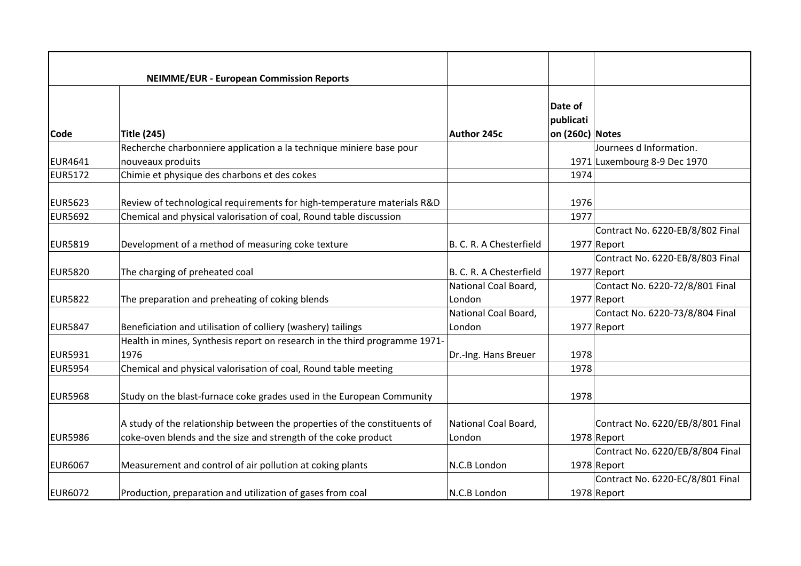|                | <b>NEIMME/EUR - European Commission Reports</b>                                          |                                |                      |                                                         |
|----------------|------------------------------------------------------------------------------------------|--------------------------------|----------------------|---------------------------------------------------------|
|                |                                                                                          |                                | Date of<br>publicati |                                                         |
| Code           | <b>Title (245)</b>                                                                       | Author 245c                    | on (260c) Notes      |                                                         |
| <b>EUR4641</b> | Recherche charbonniere application a la technique miniere base pour<br>nouveaux produits |                                |                      | Journees d Information.<br>1971 Luxembourg 8-9 Dec 1970 |
| <b>EUR5172</b> | Chimie et physique des charbons et des cokes                                             |                                | 1974                 |                                                         |
| <b>EUR5623</b> | Review of technological requirements for high-temperature materials R&D                  |                                | 1976                 |                                                         |
| <b>EUR5692</b> | Chemical and physical valorisation of coal, Round table discussion                       |                                | 1977                 |                                                         |
| <b>EUR5819</b> | Development of a method of measuring coke texture                                        | B. C. R. A Chesterfield        |                      | Contract No. 6220-EB/8/802 Final<br>1977 Report         |
| <b>EUR5820</b> | The charging of preheated coal                                                           | B. C. R. A Chesterfield        |                      | Contract No. 6220-EB/8/803 Final<br>1977 Report         |
| <b>EUR5822</b> | The preparation and preheating of coking blends                                          | National Coal Board,<br>London |                      | Contact No. 6220-72/8/801 Final<br>1977 Report          |
| <b>EUR5847</b> | Beneficiation and utilisation of colliery (washery) tailings                             | National Coal Board,<br>London |                      | Contact No. 6220-73/8/804 Final<br>1977 Report          |
| <b>EUR5931</b> | Health in mines, Synthesis report on research in the third programme 1971-<br>1976       |                                |                      |                                                         |
| <b>EUR5954</b> | Chemical and physical valorisation of coal, Round table meeting                          | Dr.-Ing. Hans Breuer           | 1978<br>1978         |                                                         |
| <b>EUR5968</b> | Study on the blast-furnace coke grades used in the European Community                    |                                | 1978                 |                                                         |
|                | A study of the relationship between the properties of the constituents of                | National Coal Board,           |                      | Contract No. 6220/EB/8/801 Final                        |
| <b>EUR5986</b> | coke-oven blends and the size and strength of the coke product                           | London                         |                      | 1978 Report                                             |
| <b>EUR6067</b> | Measurement and control of air pollution at coking plants                                | N.C.B London                   |                      | Contract No. 6220/EB/8/804 Final<br>1978 Report         |
| <b>EUR6072</b> | Production, preparation and utilization of gases from coal                               | N.C.B London                   |                      | Contract No. 6220-EC/8/801 Final<br>1978 Report         |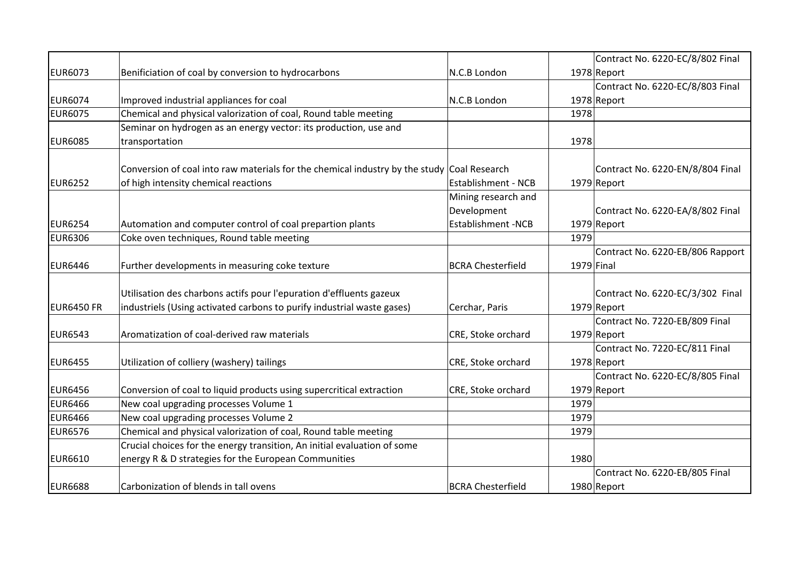|                   |                                                                                            |                            |            | Contract No. 6220-EC/8/802 Final |
|-------------------|--------------------------------------------------------------------------------------------|----------------------------|------------|----------------------------------|
| <b>EUR6073</b>    | Benificiation of coal by conversion to hydrocarbons                                        | N.C.B London               |            | 1978 Report                      |
|                   |                                                                                            |                            |            | Contract No. 6220-EC/8/803 Final |
| <b>EUR6074</b>    | Improved industrial appliances for coal                                                    | N.C.B London               |            | 1978 Report                      |
| <b>EUR6075</b>    | Chemical and physical valorization of coal, Round table meeting                            |                            | 1978       |                                  |
|                   | Seminar on hydrogen as an energy vector: its production, use and                           |                            |            |                                  |
| <b>EUR6085</b>    | transportation                                                                             |                            | 1978       |                                  |
|                   |                                                                                            |                            |            |                                  |
|                   | Conversion of coal into raw materials for the chemical industry by the study Coal Research |                            |            | Contract No. 6220-EN/8/804 Final |
| <b>EUR6252</b>    | of high intensity chemical reactions                                                       | <b>Establishment - NCB</b> |            | 1979 Report                      |
|                   |                                                                                            | Mining research and        |            |                                  |
|                   |                                                                                            | Development                |            | Contract No. 6220-EA/8/802 Final |
| <b>EUR6254</b>    | Automation and computer control of coal prepartion plants                                  | <b>Establishment -NCB</b>  |            | 1979 Report                      |
| <b>EUR6306</b>    | Coke oven techniques, Round table meeting                                                  |                            | 1979       |                                  |
|                   |                                                                                            |                            |            | Contract No. 6220-EB/806 Rapport |
| <b>EUR6446</b>    | Further developments in measuring coke texture                                             | <b>BCRA Chesterfield</b>   | 1979 Final |                                  |
|                   |                                                                                            |                            |            |                                  |
|                   | Utilisation des charbons actifs pour l'epuration d'effluents gazeux                        |                            |            | Contract No. 6220-EC/3/302 Final |
| <b>EUR6450 FR</b> | industriels (Using activated carbons to purify industrial waste gases)                     | Cerchar, Paris             |            | 1979 Report                      |
|                   |                                                                                            |                            |            | Contract No. 7220-EB/809 Final   |
| <b>EUR6543</b>    | Aromatization of coal-derived raw materials                                                | CRE, Stoke orchard         |            | 1979 Report                      |
|                   |                                                                                            |                            |            | Contract No. 7220-EC/811 Final   |
| <b>EUR6455</b>    | Utilization of colliery (washery) tailings                                                 | CRE, Stoke orchard         |            | 1978 Report                      |
|                   |                                                                                            |                            |            | Contract No. 6220-EC/8/805 Final |
| <b>EUR6456</b>    | Conversion of coal to liquid products using supercritical extraction                       | CRE, Stoke orchard         |            | 1979 Report                      |
| <b>EUR6466</b>    | New coal upgrading processes Volume 1                                                      |                            | 1979       |                                  |
| <b>EUR6466</b>    | New coal upgrading processes Volume 2                                                      |                            | 1979       |                                  |
| <b>EUR6576</b>    | Chemical and physical valorization of coal, Round table meeting                            |                            | 1979       |                                  |
|                   | Crucial choices for the energy transition, An initial evaluation of some                   |                            |            |                                  |
| <b>EUR6610</b>    | energy R & D strategies for the European Communities                                       |                            | 1980       |                                  |
|                   |                                                                                            |                            |            | Contract No. 6220-EB/805 Final   |
| <b>EUR6688</b>    | Carbonization of blends in tall ovens                                                      | <b>BCRA Chesterfield</b>   |            | 1980 Report                      |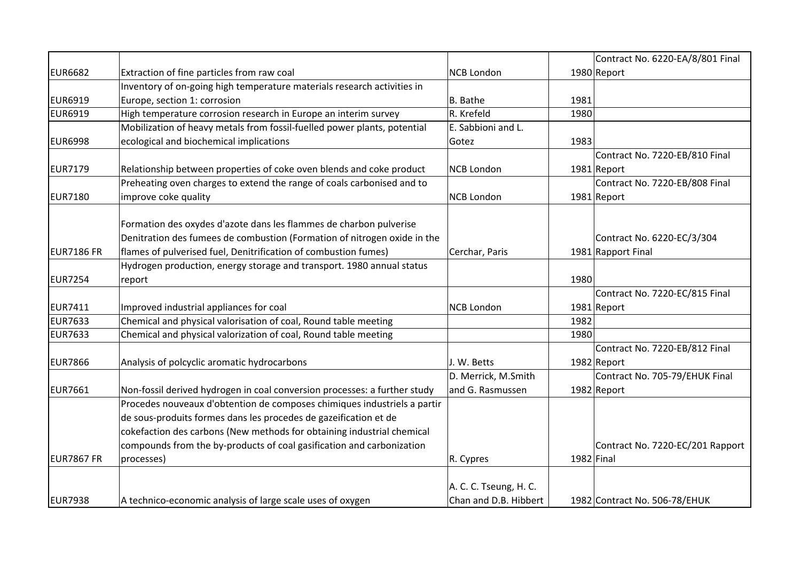|                   |                                                                           |                        |              | Contract No. 6220-EA/8/801 Final |
|-------------------|---------------------------------------------------------------------------|------------------------|--------------|----------------------------------|
| <b>EUR6682</b>    | Extraction of fine particles from raw coal                                | <b>NCB London</b>      |              | 1980 Report                      |
|                   | Inventory of on-going high temperature materials research activities in   |                        |              |                                  |
| <b>EUR6919</b>    | Europe, section 1: corrosion                                              | B. Bathe               | 1981         |                                  |
| <b>EUR6919</b>    | High temperature corrosion research in Europe an interim survey           | R. Krefeld             | 1980         |                                  |
|                   | Mobilization of heavy metals from fossil-fuelled power plants, potential  | E. Sabbioni and L.     |              |                                  |
| <b>EUR6998</b>    | ecological and biochemical implications                                   | Gotez                  | 1983         |                                  |
|                   |                                                                           |                        |              | Contract No. 7220-EB/810 Final   |
| <b>EUR7179</b>    | Relationship between properties of coke oven blends and coke product      | <b>NCB London</b>      |              | 1981 Report                      |
|                   | Preheating oven charges to extend the range of coals carbonised and to    |                        |              | Contract No. 7220-EB/808 Final   |
| <b>EUR7180</b>    | improve coke quality                                                      | <b>NCB London</b>      |              | 1981 Report                      |
|                   |                                                                           |                        |              |                                  |
|                   | Formation des oxydes d'azote dans les flammes de charbon pulverise        |                        |              |                                  |
|                   | Denitration des fumees de combustion (Formation of nitrogen oxide in the  |                        |              | Contract No. 6220-EC/3/304       |
| <b>EUR7186 FR</b> | flames of pulverised fuel, Denitrification of combustion fumes)           | Cerchar, Paris         |              | 1981 Rapport Final               |
|                   | Hydrogen production, energy storage and transport. 1980 annual status     |                        |              |                                  |
| <b>EUR7254</b>    | report                                                                    |                        | 1980         |                                  |
|                   |                                                                           |                        |              | Contract No. 7220-EC/815 Final   |
| <b>EUR7411</b>    | Improved industrial appliances for coal                                   | <b>NCB London</b>      |              | 1981 Report                      |
| <b>EUR7633</b>    | Chemical and physical valorisation of coal, Round table meeting           |                        | 1982         |                                  |
| <b>EUR7633</b>    | Chemical and physical valorization of coal, Round table meeting           |                        | 1980         |                                  |
|                   |                                                                           |                        |              | Contract No. 7220-EB/812 Final   |
| <b>EUR7866</b>    | Analysis of polcyclic aromatic hydrocarbons                               | J. W. Betts            |              | 1982 Report                      |
|                   |                                                                           | D. Merrick, M.Smith    |              | Contract No. 705-79/EHUK Final   |
| <b>EUR7661</b>    | Non-fossil derived hydrogen in coal conversion processes: a further study | and G. Rasmussen       |              | 1982 Report                      |
|                   | Procedes nouveaux d'obtention de composes chimiques industriels a partir  |                        |              |                                  |
|                   | de sous-produits formes dans les procedes de gazeification et de          |                        |              |                                  |
|                   | cokefaction des carbons (New methods for obtaining industrial chemical    |                        |              |                                  |
|                   | compounds from the by-products of coal gasification and carbonization     |                        |              | Contract No. 7220-EC/201 Rapport |
| EUR7867 FR        | processes)                                                                | R. Cypres              | $1982$ Final |                                  |
|                   |                                                                           |                        |              |                                  |
|                   |                                                                           | A. C. C. Tseung, H. C. |              |                                  |
| <b>EUR7938</b>    | A technico-economic analysis of large scale uses of oxygen                | Chan and D.B. Hibbert  |              | 1982 Contract No. 506-78/EHUK    |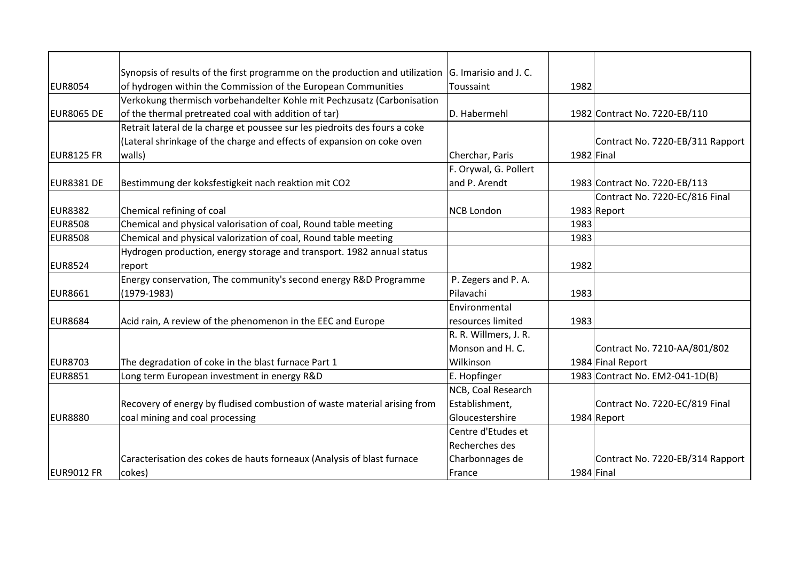|                   | Synopsis of results of the first programme on the production and utilization $ G$ . Imarisio and J. C. |                       |              |                                  |
|-------------------|--------------------------------------------------------------------------------------------------------|-----------------------|--------------|----------------------------------|
| <b>EUR8054</b>    | of hydrogen within the Commission of the European Communities                                          | Toussaint             | 1982         |                                  |
|                   | Verkokung thermisch vorbehandelter Kohle mit Pechzusatz (Carbonisation                                 |                       |              |                                  |
| <b>EUR8065 DE</b> | of the thermal pretreated coal with addition of tar)                                                   | D. Habermehl          |              | 1982 Contract No. 7220-EB/110    |
|                   | Retrait lateral de la charge et poussee sur les piedroits des fours a coke                             |                       |              |                                  |
|                   | (Lateral shrinkage of the charge and effects of expansion on coke oven                                 |                       |              | Contract No. 7220-EB/311 Rapport |
| <b>EUR8125 FR</b> | walls)                                                                                                 | Cherchar, Paris       | $1982$ Final |                                  |
|                   |                                                                                                        | F. Orywal, G. Pollert |              |                                  |
| <b>EUR8381 DE</b> | Bestimmung der koksfestigkeit nach reaktion mit CO2                                                    | and P. Arendt         |              | 1983 Contract No. 7220-EB/113    |
|                   |                                                                                                        |                       |              | Contract No. 7220-EC/816 Final   |
| <b>EUR8382</b>    | Chemical refining of coal                                                                              | <b>NCB London</b>     |              | 1983 Report                      |
| <b>EUR8508</b>    | Chemical and physical valorisation of coal, Round table meeting                                        |                       | 1983         |                                  |
| <b>EUR8508</b>    | Chemical and physical valorization of coal, Round table meeting                                        |                       | 1983         |                                  |
|                   | Hydrogen production, energy storage and transport. 1982 annual status                                  |                       |              |                                  |
| <b>EUR8524</b>    | report                                                                                                 |                       | 1982         |                                  |
|                   | Energy conservation, The community's second energy R&D Programme                                       | P. Zegers and P. A.   |              |                                  |
| <b>EUR8661</b>    | $(1979 - 1983)$                                                                                        | Pilavachi             | 1983         |                                  |
|                   |                                                                                                        | Environmental         |              |                                  |
| <b>EUR8684</b>    | Acid rain, A review of the phenomenon in the EEC and Europe                                            | resources limited     | 1983         |                                  |
|                   |                                                                                                        | R. R. Willmers, J. R. |              |                                  |
|                   |                                                                                                        | Monson and H. C.      |              | Contract No. 7210-AA/801/802     |
| <b>EUR8703</b>    | The degradation of coke in the blast furnace Part 1                                                    | Wilkinson             |              | 1984 Final Report                |
| <b>EUR8851</b>    | Long term European investment in energy R&D                                                            | E. Hopfinger          |              | 1983 Contract No. EM2-041-1D(B)  |
|                   |                                                                                                        | NCB, Coal Research    |              |                                  |
|                   | Recovery of energy by fludised combustion of waste material arising from                               | Establishment,        |              | Contract No. 7220-EC/819 Final   |
| <b>EUR8880</b>    | coal mining and coal processing                                                                        | Gloucestershire       |              | 1984 Report                      |
|                   |                                                                                                        | Centre d'Etudes et    |              |                                  |
|                   |                                                                                                        | Recherches des        |              |                                  |
|                   | Caracterisation des cokes de hauts forneaux (Analysis of blast furnace                                 | Charbonnages de       |              | Contract No. 7220-EB/314 Rapport |
| <b>EUR9012 FR</b> | cokes)                                                                                                 | France                | $1984$ Final |                                  |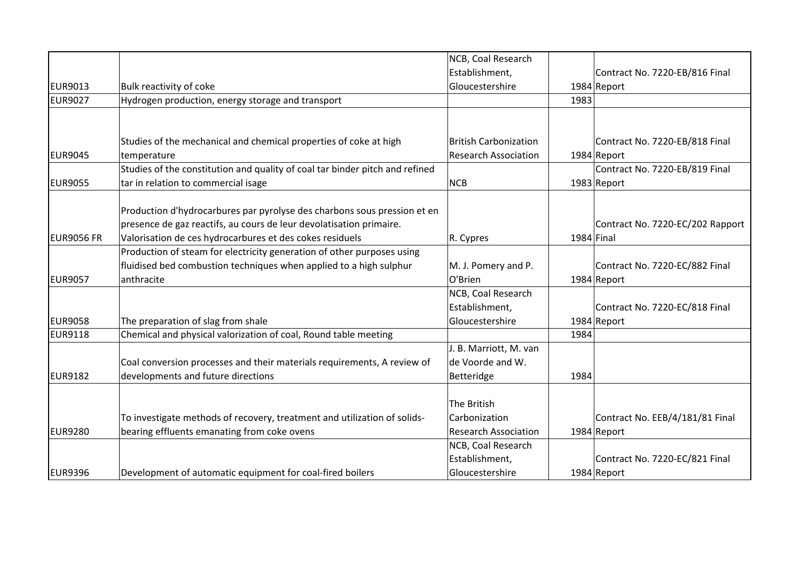|                   |                                                                              | NCB, Coal Research           |              |                                  |
|-------------------|------------------------------------------------------------------------------|------------------------------|--------------|----------------------------------|
|                   |                                                                              | Establishment,               |              | Contract No. 7220-EB/816 Final   |
| EUR9013           | Bulk reactivity of coke                                                      | Gloucestershire              |              | 1984 Report                      |
| <b>EUR9027</b>    | Hydrogen production, energy storage and transport                            |                              | 1983         |                                  |
|                   |                                                                              |                              |              |                                  |
|                   | Studies of the mechanical and chemical properties of coke at high            | <b>British Carbonization</b> |              | Contract No. 7220-EB/818 Final   |
| <b>EUR9045</b>    | temperature                                                                  | <b>Research Association</b>  |              | 1984 Report                      |
|                   | Studies of the constitution and quality of coal tar binder pitch and refined |                              |              | Contract No. 7220-EB/819 Final   |
| <b>EUR9055</b>    | tar in relation to commercial isage                                          | <b>NCB</b>                   |              | 1983 Report                      |
|                   | Production d'hydrocarbures par pyrolyse des charbons sous pression et en     |                              |              |                                  |
|                   | presence de gaz reactifs, au cours de leur devolatisation primaire.          |                              |              | Contract No. 7220-EC/202 Rapport |
| <b>EUR9056 FR</b> | Valorisation de ces hydrocarbures et des cokes residuels                     | R. Cypres                    | $1984$ Final |                                  |
|                   | Production of steam for electricity generation of other purposes using       |                              |              |                                  |
|                   | fluidised bed combustion techniques when applied to a high sulphur           | M. J. Pomery and P.          |              | Contract No. 7220-EC/882 Final   |
| <b>EUR9057</b>    | anthracite                                                                   | O'Brien                      |              | 1984 Report                      |
|                   |                                                                              | NCB, Coal Research           |              |                                  |
|                   |                                                                              | Establishment,               |              | Contract No. 7220-EC/818 Final   |
| <b>EUR9058</b>    | The preparation of slag from shale                                           | Gloucestershire              |              | 1984 Report                      |
| EUR9118           | Chemical and physical valorization of coal, Round table meeting              |                              | 1984         |                                  |
|                   |                                                                              | J. B. Marriott, M. van       |              |                                  |
|                   | Coal conversion processes and their materials requirements, A review of      | de Voorde and W.             |              |                                  |
| <b>EUR9182</b>    | developments and future directions                                           | Betteridge                   | 1984         |                                  |
|                   |                                                                              | The British                  |              |                                  |
|                   | To investigate methods of recovery, treatment and utilization of solids-     | Carbonization                |              | Contract No. EEB/4/181/81 Final  |
| <b>EUR9280</b>    | bearing effluents emanating from coke ovens                                  | <b>Research Association</b>  |              | 1984 Report                      |
|                   |                                                                              | NCB, Coal Research           |              |                                  |
|                   |                                                                              | Establishment,               |              | Contract No. 7220-EC/821 Final   |
| <b>EUR9396</b>    | Development of automatic equipment for coal-fired boilers                    | Gloucestershire              |              | 1984 Report                      |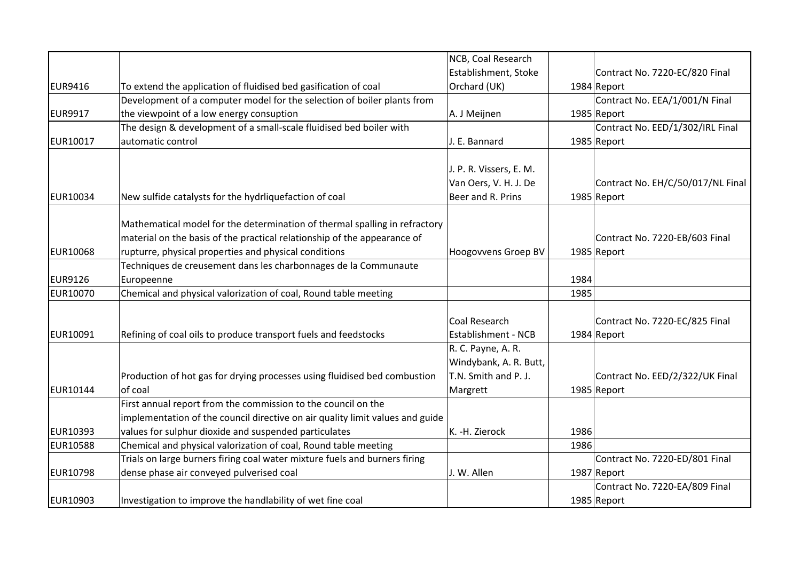|                 |                                                                               | NCB, Coal Research         |      |                                   |
|-----------------|-------------------------------------------------------------------------------|----------------------------|------|-----------------------------------|
|                 |                                                                               | Establishment, Stoke       |      | Contract No. 7220-EC/820 Final    |
| <b>EUR9416</b>  | To extend the application of fluidised bed gasification of coal               | Orchard (UK)               |      | 1984 Report                       |
|                 | Development of a computer model for the selection of boiler plants from       |                            |      | Contract No. EEA/1/001/N Final    |
| <b>EUR9917</b>  | the viewpoint of a low energy consuption                                      | A. J Meijnen               |      | 1985 Report                       |
|                 | The design & development of a small-scale fluidised bed boiler with           |                            |      | Contract No. EED/1/302/IRL Final  |
| EUR10017        | automatic control                                                             | J. E. Bannard              |      | 1985 Report                       |
|                 |                                                                               |                            |      |                                   |
|                 |                                                                               | J. P. R. Vissers, E. M.    |      |                                   |
|                 |                                                                               | Van Oers, V. H. J. De      |      | Contract No. EH/C/50/017/NL Final |
| EUR10034        | New sulfide catalysts for the hydrliquefaction of coal                        | Beer and R. Prins          |      | 1985 Report                       |
|                 |                                                                               |                            |      |                                   |
|                 | Mathematical model for the determination of thermal spalling in refractory    |                            |      |                                   |
|                 | material on the basis of the practical relationship of the appearance of      |                            |      | Contract No. 7220-EB/603 Final    |
| <b>EUR10068</b> | rupturre, physical properties and physical conditions                         | Hoogovvens Groep BV        |      | 1985 Report                       |
|                 | Techniques de creusement dans les charbonnages de la Communaute               |                            |      |                                   |
| <b>EUR9126</b>  | Europeenne                                                                    |                            | 1984 |                                   |
| EUR10070        | Chemical and physical valorization of coal, Round table meeting               |                            | 1985 |                                   |
|                 |                                                                               |                            |      |                                   |
|                 |                                                                               | Coal Research              |      | Contract No. 7220-EC/825 Final    |
| EUR10091        | Refining of coal oils to produce transport fuels and feedstocks               | <b>Establishment - NCB</b> |      | 1984 Report                       |
|                 |                                                                               | R. C. Payne, A. R.         |      |                                   |
|                 |                                                                               | Windybank, A. R. Butt,     |      |                                   |
|                 | Production of hot gas for drying processes using fluidised bed combustion     | T.N. Smith and P. J.       |      | Contract No. EED/2/322/UK Final   |
| EUR10144        | of coal                                                                       | Margrett                   |      | 1985 Report                       |
|                 | First annual report from the commission to the council on the                 |                            |      |                                   |
|                 | implementation of the council directive on air quality limit values and guide |                            |      |                                   |
| EUR10393        | values for sulphur dioxide and suspended particulates                         | K. -H. Zierock             | 1986 |                                   |
| <b>EUR10588</b> | Chemical and physical valorization of coal, Round table meeting               |                            | 1986 |                                   |
|                 | Trials on large burners firing coal water mixture fuels and burners firing    |                            |      | Contract No. 7220-ED/801 Final    |
| EUR10798        | dense phase air conveyed pulverised coal                                      | J. W. Allen                |      | 1987 Report                       |
|                 |                                                                               |                            |      | Contract No. 7220-EA/809 Final    |
| EUR10903        | Investigation to improve the handlability of wet fine coal                    |                            |      | 1985 Report                       |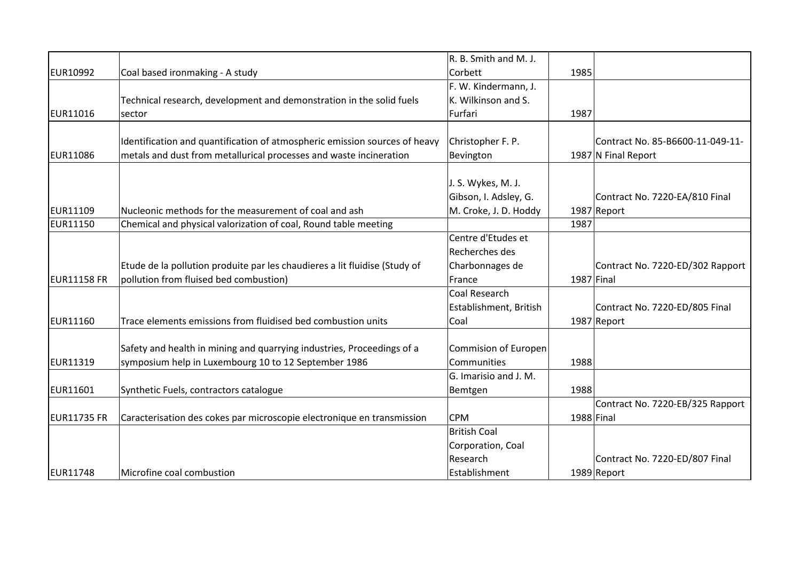|                    |                                                                            | R. B. Smith and M. J.  |            |                                  |
|--------------------|----------------------------------------------------------------------------|------------------------|------------|----------------------------------|
| <b>EUR10992</b>    | Coal based ironmaking - A study                                            | Corbett                | 1985       |                                  |
|                    |                                                                            | F. W. Kindermann, J.   |            |                                  |
|                    | Technical research, development and demonstration in the solid fuels       | K. Wilkinson and S.    |            |                                  |
| EUR11016           | sector                                                                     | Furfari                | 1987       |                                  |
|                    | Identification and quantification of atmospheric emission sources of heavy | Christopher F. P.      |            | Contract No. 85-B6600-11-049-11- |
| EUR11086           | metals and dust from metallurical processes and waste incineration         | Bevington              |            | 1987 N Final Report              |
|                    |                                                                            |                        |            |                                  |
|                    |                                                                            | J. S. Wykes, M. J.     |            |                                  |
| EUR11109           | Nucleonic methods for the measurement of coal and ash                      | Gibson, I. Adsley, G.  |            | Contract No. 7220-EA/810 Final   |
| <b>EUR11150</b>    |                                                                            | M. Croke, J. D. Hoddy  | 1987       | 1987 Report                      |
|                    | Chemical and physical valorization of coal, Round table meeting            | Centre d'Etudes et     |            |                                  |
|                    |                                                                            |                        |            |                                  |
|                    |                                                                            | Recherches des         |            |                                  |
|                    | Etude de la pollution produite par les chaudieres a lit fluidise (Study of | Charbonnages de        |            | Contract No. 7220-ED/302 Rapport |
| <b>EUR11158 FR</b> | pollution from fluised bed combustion)                                     | France                 |            | 1987 Final                       |
|                    |                                                                            | Coal Research          |            |                                  |
|                    |                                                                            | Establishment, British |            | Contract No. 7220-ED/805 Final   |
| EUR11160           | Trace elements emissions from fluidised bed combustion units               | Coal                   |            | 1987 Report                      |
|                    | Safety and health in mining and quarrying industries, Proceedings of a     | Commision of Europen   |            |                                  |
| EUR11319           | symposium help in Luxembourg 10 to 12 September 1986                       | Communities            | 1988       |                                  |
|                    |                                                                            | G. Imarisio and J. M.  |            |                                  |
| EUR11601           | Synthetic Fuels, contractors catalogue                                     | Bemtgen                | 1988       |                                  |
|                    |                                                                            |                        |            | Contract No. 7220-EB/325 Rapport |
| <b>EUR11735 FR</b> | Caracterisation des cokes par microscopie electronique en transmission     | <b>CPM</b>             | 1988 Final |                                  |
|                    |                                                                            | <b>British Coal</b>    |            |                                  |
|                    |                                                                            | Corporation, Coal      |            |                                  |
|                    |                                                                            | Research               |            | Contract No. 7220-ED/807 Final   |
| EUR11748           | Microfine coal combustion                                                  | Establishment          |            | 1989 Report                      |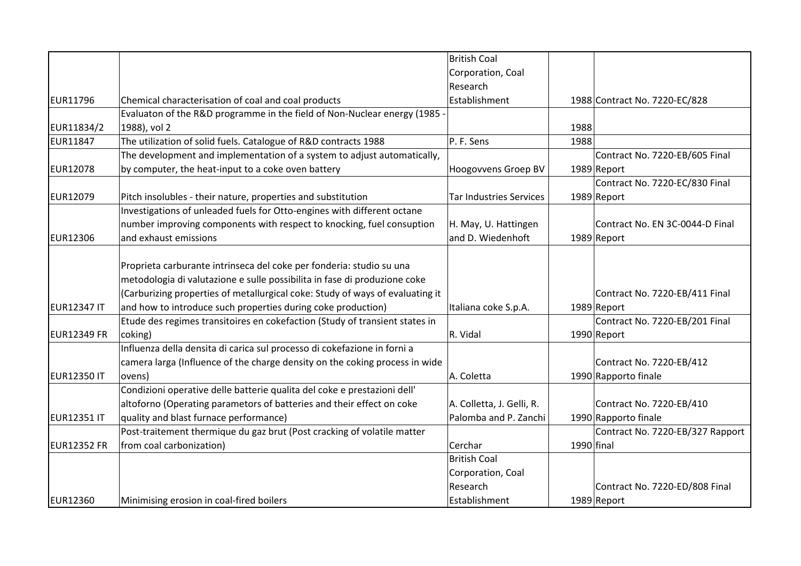|                    |                                                                               | <b>British Coal</b>            |              |                                  |
|--------------------|-------------------------------------------------------------------------------|--------------------------------|--------------|----------------------------------|
|                    |                                                                               | Corporation, Coal              |              |                                  |
|                    |                                                                               | Research                       |              |                                  |
| EUR11796           | Chemical characterisation of coal and coal products                           | Establishment                  |              | 1988 Contract No. 7220-EC/828    |
|                    | Evaluaton of the R&D programme in the field of Non-Nuclear energy (1985       |                                |              |                                  |
| EUR11834/2         | 1988), vol 2                                                                  |                                | 1988         |                                  |
| <b>EUR11847</b>    | The utilization of solid fuels. Catalogue of R&D contracts 1988               | P. F. Sens                     | 1988         |                                  |
|                    | The development and implementation of a system to adjust automatically,       |                                |              | Contract No. 7220-EB/605 Final   |
| <b>EUR12078</b>    | by computer, the heat-input to a coke oven battery                            | Hoogovvens Groep BV            |              | 1989 Report                      |
|                    |                                                                               |                                |              | Contract No. 7220-EC/830 Final   |
| <b>EUR12079</b>    | Pitch insolubles - their nature, properties and substitution                  | <b>Tar Industries Services</b> |              | 1989 Report                      |
|                    | Investigations of unleaded fuels for Otto-engines with different octane       |                                |              |                                  |
|                    | number improving components with respect to knocking, fuel consuption         | H. May, U. Hattingen           |              | Contract No. EN 3C-0044-D Final  |
| <b>EUR12306</b>    | and exhaust emissions                                                         | and D. Wiedenhoft              |              | 1989 Report                      |
|                    |                                                                               |                                |              |                                  |
|                    | Proprieta carburante intrinseca del coke per fonderia: studio su una          |                                |              |                                  |
|                    | metodologia di valutazione e sulle possibilita in fase di produzione coke     |                                |              |                                  |
|                    | (Carburizing properties of metallurgical coke: Study of ways of evaluating it |                                |              | Contract No. 7220-EB/411 Final   |
| <b>EUR12347 IT</b> | and how to introduce such properties during coke production)                  | Italiana coke S.p.A.           |              | 1989 Report                      |
|                    | Etude des regimes transitoires en cokefaction (Study of transient states in   |                                |              | Contract No. 7220-EB/201 Final   |
| <b>EUR12349 FR</b> | coking)                                                                       | R. Vidal                       |              | 1990 Report                      |
|                    | Influenza della densita di carica sul processo di cokefazione in forni a      |                                |              |                                  |
|                    | camera larga (Influence of the charge density on the coking process in wide   |                                |              | Contract No. 7220-EB/412         |
| <b>EUR12350 IT</b> | lovens)                                                                       | A. Coletta                     |              | 1990 Rapporto finale             |
|                    | Condizioni operative delle batterie qualita del coke e prestazioni dell'      |                                |              |                                  |
|                    | altoforno (Operating parametors of batteries and their effect on coke         | A. Colletta, J. Gelli, R.      |              | Contract No. 7220-EB/410         |
| <b>EUR12351 IT</b> | quality and blast furnace performance)                                        | Palomba and P. Zanchi          |              | 1990 Rapporto finale             |
|                    | Post-traitement thermique du gaz brut (Post cracking of volatile matter       |                                |              | Contract No. 7220-EB/327 Rapport |
| <b>EUR12352 FR</b> | from coal carbonization)                                                      | Cerchar                        | $1990$ final |                                  |
|                    |                                                                               | <b>British Coal</b>            |              |                                  |
|                    |                                                                               | Corporation, Coal              |              |                                  |
|                    |                                                                               | Research                       |              | Contract No. 7220-ED/808 Final   |
| <b>EUR12360</b>    | Minimising erosion in coal-fired boilers                                      | Establishment                  |              | 1989 Report                      |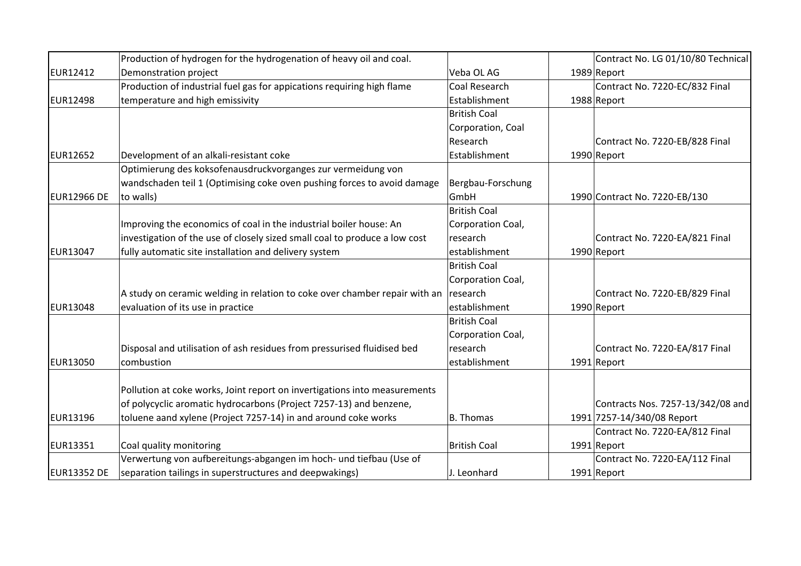|                    | Production of hydrogen for the hydrogenation of heavy oil and coal.        |                     | Contract No. LG 01/10/80 Technical |
|--------------------|----------------------------------------------------------------------------|---------------------|------------------------------------|
| EUR12412           | Demonstration project                                                      | Veba OL AG          | 1989 Report                        |
|                    | Production of industrial fuel gas for appications requiring high flame     | Coal Research       | Contract No. 7220-EC/832 Final     |
| <b>EUR12498</b>    | temperature and high emissivity                                            | Establishment       | 1988 Report                        |
|                    |                                                                            | <b>British Coal</b> |                                    |
|                    |                                                                            | Corporation, Coal   |                                    |
|                    |                                                                            | Research            | Contract No. 7220-EB/828 Final     |
| <b>EUR12652</b>    | Development of an alkali-resistant coke                                    | Establishment       | 1990 Report                        |
|                    | Optimierung des koksofenausdruckvorganges zur vermeidung von               |                     |                                    |
|                    | wandschaden teil 1 (Optimising coke oven pushing forces to avoid damage    | Bergbau-Forschung   |                                    |
| <b>EUR12966 DE</b> | to walls)                                                                  | GmbH                | 1990 Contract No. 7220-EB/130      |
|                    |                                                                            | <b>British Coal</b> |                                    |
|                    | Improving the economics of coal in the industrial boiler house: An         | Corporation Coal,   |                                    |
|                    | investigation of the use of closely sized small coal to produce a low cost | research            | Contract No. 7220-EA/821 Final     |
| EUR13047           | fully automatic site installation and delivery system                      | establishment       | 1990 Report                        |
|                    |                                                                            | <b>British Coal</b> |                                    |
|                    |                                                                            | Corporation Coal,   |                                    |
|                    | A study on ceramic welding in relation to coke over chamber repair with an | research            | Contract No. 7220-EB/829 Final     |
| <b>EUR13048</b>    | evaluation of its use in practice                                          | establishment       | 1990 Report                        |
|                    |                                                                            | <b>British Coal</b> |                                    |
|                    |                                                                            | Corporation Coal,   |                                    |
|                    | Disposal and utilisation of ash residues from pressurised fluidised bed    | research            | Contract No. 7220-EA/817 Final     |
| EUR13050           | combustion                                                                 | establishment       | 1991 Report                        |
|                    |                                                                            |                     |                                    |
|                    | Pollution at coke works, Joint report on invertigations into measurements  |                     |                                    |
|                    | of polycyclic aromatic hydrocarbons (Project 7257-13) and benzene,         |                     | Contracts Nos. 7257-13/342/08 and  |
| <b>EUR13196</b>    | toluene aand xylene (Project 7257-14) in and around coke works             | <b>B.</b> Thomas    | 1991 7257-14/340/08 Report         |
|                    |                                                                            |                     | Contract No. 7220-EA/812 Final     |
| <b>EUR13351</b>    | Coal quality monitoring                                                    | <b>British Coal</b> | 1991 Report                        |
|                    | Verwertung von aufbereitungs-abgangen im hoch- und tiefbau (Use of         |                     | Contract No. 7220-EA/112 Final     |
| <b>EUR13352 DE</b> | separation tailings in superstructures and deepwakings)                    | J. Leonhard         | 1991 Report                        |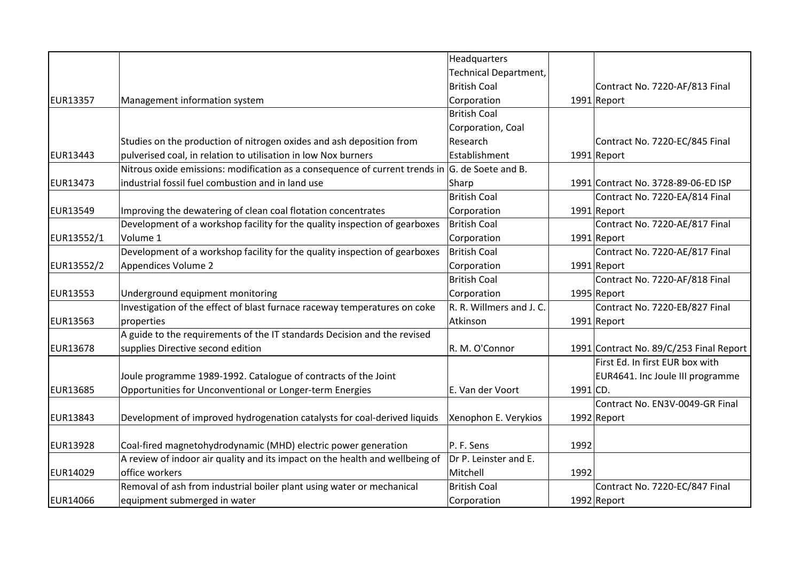|                 |                                                                              | Headquarters                 |            |                                         |
|-----------------|------------------------------------------------------------------------------|------------------------------|------------|-----------------------------------------|
|                 |                                                                              | <b>Technical Department,</b> |            |                                         |
|                 |                                                                              | <b>British Coal</b>          |            | Contract No. 7220-AF/813 Final          |
| <b>EUR13357</b> | Management information system                                                | Corporation                  |            | 1991 Report                             |
|                 |                                                                              | <b>British Coal</b>          |            |                                         |
|                 |                                                                              | Corporation, Coal            |            |                                         |
|                 | Studies on the production of nitrogen oxides and ash deposition from         | Research                     |            | Contract No. 7220-EC/845 Final          |
| EUR13443        | pulverised coal, in relation to utilisation in low Nox burners               | Establishment                |            | 1991 Report                             |
|                 | Nitrous oxide emissions: modification as a consequence of current trends in  | G. de Soete and B.           |            |                                         |
| <b>EUR13473</b> | industrial fossil fuel combustion and in land use                            | Sharp                        |            | 1991 Contract No. 3728-89-06-ED ISP     |
|                 |                                                                              | <b>British Coal</b>          |            | Contract No. 7220-EA/814 Final          |
| <b>EUR13549</b> | Improving the dewatering of clean coal flotation concentrates                | Corporation                  |            | 1991 Report                             |
|                 | Development of a workshop facility for the quality inspection of gearboxes   | British Coal                 |            | Contract No. 7220-AE/817 Final          |
| EUR13552/1      | Volume 1                                                                     | Corporation                  |            | $1991$ Report                           |
|                 | Development of a workshop facility for the quality inspection of gearboxes   | <b>British Coal</b>          |            | Contract No. 7220-AE/817 Final          |
| EUR13552/2      | <b>Appendices Volume 2</b>                                                   | Corporation                  |            | 1991 Report                             |
|                 |                                                                              | <b>British Coal</b>          |            | Contract No. 7220-AF/818 Final          |
| <b>EUR13553</b> | Underground equipment monitoring                                             | Corporation                  |            | 1995 Report                             |
|                 | Investigation of the effect of blast furnace raceway temperatures on coke    | R. R. Willmers and J. C.     |            | Contract No. 7220-EB/827 Final          |
| <b>EUR13563</b> | properties                                                                   | Atkinson                     |            | 1991 Report                             |
|                 | A guide to the requirements of the IT standards Decision and the revised     |                              |            |                                         |
| <b>EUR13678</b> | supplies Directive second edition                                            | R. M. O'Connor               |            | 1991 Contract No. 89/C/253 Final Report |
|                 |                                                                              |                              |            | First Ed. In first EUR box with         |
|                 | Joule programme 1989-1992. Catalogue of contracts of the Joint               |                              |            | EUR4641. Inc Joule III programme        |
| <b>EUR13685</b> | Opportunities for Unconventional or Longer-term Energies                     | E. Van der Voort             | $1991$ CD. |                                         |
|                 |                                                                              |                              |            | Contract No. EN3V-0049-GR Final         |
| <b>EUR13843</b> | Development of improved hydrogenation catalysts for coal-derived liquids     | Xenophon E. Verykios         |            | 1992 Report                             |
|                 |                                                                              |                              |            |                                         |
| <b>EUR13928</b> | Coal-fired magnetohydrodynamic (MHD) electric power generation               | P. F. Sens                   | 1992       |                                         |
|                 | A review of indoor air quality and its impact on the health and wellbeing of | Dr P. Leinster and E.        |            |                                         |
| <b>EUR14029</b> | office workers                                                               | Mitchell                     | 1992       |                                         |
|                 | Removal of ash from industrial boiler plant using water or mechanical        | <b>British Coal</b>          |            | Contract No. 7220-EC/847 Final          |
| <b>EUR14066</b> | equipment submerged in water                                                 | Corporation                  |            | 1992 Report                             |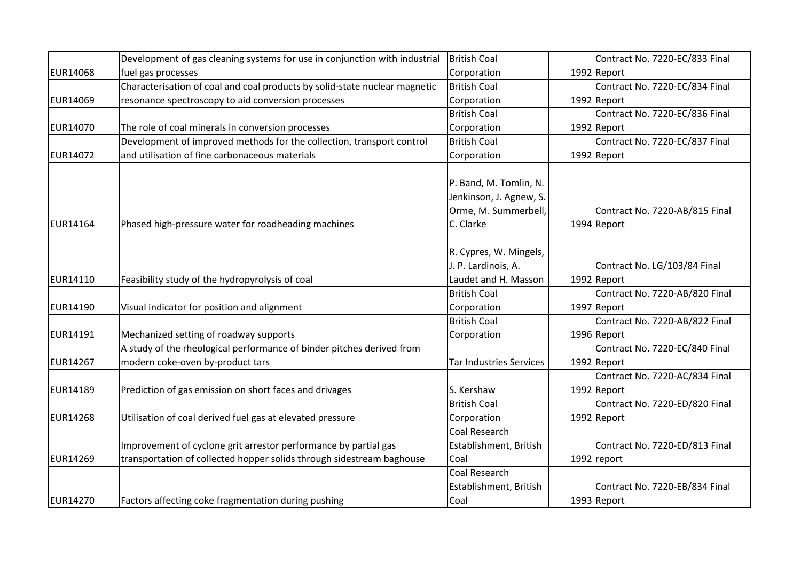|                 | Development of gas cleaning systems for use in conjunction with industrial | British Coal            | Contract No. 7220-EC/833 Final |
|-----------------|----------------------------------------------------------------------------|-------------------------|--------------------------------|
| <b>EUR14068</b> | fuel gas processes                                                         | Corporation             | 1992 Report                    |
|                 | Characterisation of coal and coal products by solid-state nuclear magnetic | British Coal            | Contract No. 7220-EC/834 Final |
| <b>EUR14069</b> | resonance spectroscopy to aid conversion processes                         | Corporation             | 1992 Report                    |
|                 |                                                                            | <b>British Coal</b>     | Contract No. 7220-EC/836 Final |
| EUR14070        | The role of coal minerals in conversion processes                          | Corporation             | $1992$ Report                  |
|                 | Development of improved methods for the collection, transport control      | <b>British Coal</b>     | Contract No. 7220-EC/837 Final |
| EUR14072        | and utilisation of fine carbonaceous materials                             | Corporation             | $1992$ Report                  |
|                 |                                                                            |                         |                                |
|                 |                                                                            | P. Band, M. Tomlin, N.  |                                |
|                 |                                                                            | Jenkinson, J. Agnew, S. |                                |
|                 |                                                                            | Orme, M. Summerbell,    | Contract No. 7220-AB/815 Final |
| EUR14164        | Phased high-pressure water for roadheading machines                        | C. Clarke               | 1994 Report                    |
|                 |                                                                            |                         |                                |
|                 |                                                                            | R. Cypres, W. Mingels,  |                                |
|                 |                                                                            | J. P. Lardinois, A.     | Contract No. LG/103/84 Final   |
| EUR14110        | Feasibility study of the hydropyrolysis of coal                            | Laudet and H. Masson    | 1992 Report                    |
|                 |                                                                            | <b>British Coal</b>     | Contract No. 7220-AB/820 Final |
| EUR14190        | Visual indicator for position and alignment                                | Corporation             | 1997 Report                    |
|                 |                                                                            | <b>British Coal</b>     | Contract No. 7220-AB/822 Final |
| EUR14191        | Mechanized setting of roadway supports                                     | Corporation             | 1996 Report                    |
|                 | A study of the rheological performance of binder pitches derived from      |                         | Contract No. 7220-EC/840 Final |
| <b>EUR14267</b> | modern coke-oven by-product tars                                           | Tar Industries Services | 1992 Report                    |
|                 |                                                                            |                         | Contract No. 7220-AC/834 Final |
| EUR14189        | Prediction of gas emission on short faces and drivages                     | S. Kershaw              | 1992 Report                    |
|                 |                                                                            | <b>British Coal</b>     | Contract No. 7220-ED/820 Final |
| <b>EUR14268</b> | Utilisation of coal derived fuel gas at elevated pressure                  | Corporation             | 1992 Report                    |
|                 |                                                                            | Coal Research           |                                |
|                 | Improvement of cyclone grit arrestor performance by partial gas            | Establishment, British  | Contract No. 7220-ED/813 Final |
| <b>EUR14269</b> | transportation of collected hopper solids through sidestream baghouse      | Coal                    | 1992 report                    |
|                 |                                                                            | Coal Research           |                                |
|                 |                                                                            | Establishment, British  | Contract No. 7220-EB/834 Final |
| <b>EUR14270</b> | Factors affecting coke fragmentation during pushing                        | Coal                    | $1993$ Report                  |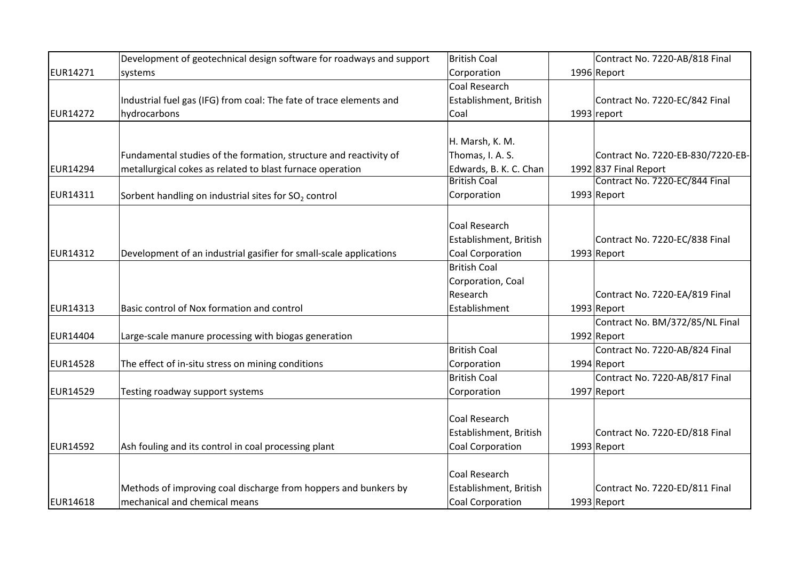|                 | Development of geotechnical design software for roadways and support | <b>British Coal</b>     | Contract No. 7220-AB/818 Final    |
|-----------------|----------------------------------------------------------------------|-------------------------|-----------------------------------|
| <b>EUR14271</b> | systems                                                              | Corporation             | 1996 Report                       |
|                 |                                                                      | <b>Coal Research</b>    |                                   |
|                 | Industrial fuel gas (IFG) from coal: The fate of trace elements and  | Establishment, British  | Contract No. 7220-EC/842 Final    |
| <b>EUR14272</b> | hydrocarbons                                                         | Coal                    | $1993$ report                     |
|                 |                                                                      |                         |                                   |
|                 |                                                                      | H. Marsh, K. M.         |                                   |
|                 | Fundamental studies of the formation, structure and reactivity of    | Thomas, I. A. S.        | Contract No. 7220-EB-830/7220-EB- |
| <b>EUR14294</b> | metallurgical cokes as related to blast furnace operation            | Edwards, B. K. C. Chan  | 1992 837 Final Report             |
|                 |                                                                      | <b>British Coal</b>     | Contract No. 7220-EC/844 Final    |
| EUR14311        | Sorbent handling on industrial sites for SO <sub>2</sub> control     | Corporation             | $1993$ Report                     |
|                 |                                                                      |                         |                                   |
|                 |                                                                      | <b>Coal Research</b>    |                                   |
|                 |                                                                      | Establishment, British  | Contract No. 7220-EC/838 Final    |
| <b>EUR14312</b> | Development of an industrial gasifier for small-scale applications   | Coal Corporation        | $1993$ Report                     |
|                 |                                                                      | <b>British Coal</b>     |                                   |
|                 |                                                                      | Corporation, Coal       |                                   |
|                 |                                                                      | Research                | Contract No. 7220-EA/819 Final    |
| <b>EUR14313</b> | Basic control of Nox formation and control                           | Establishment           | $1993$ Report                     |
|                 |                                                                      |                         | Contract No. BM/372/85/NL Final   |
| <b>EUR14404</b> | Large-scale manure processing with biogas generation                 |                         | 1992 Report                       |
|                 |                                                                      | <b>British Coal</b>     | Contract No. 7220-AB/824 Final    |
| <b>EUR14528</b> | The effect of in-situ stress on mining conditions                    | Corporation             | 1994 Report                       |
|                 |                                                                      | <b>British Coal</b>     | Contract No. 7220-AB/817 Final    |
| <b>EUR14529</b> | Testing roadway support systems                                      | Corporation             | 1997 Report                       |
|                 |                                                                      |                         |                                   |
|                 |                                                                      | <b>Coal Research</b>    |                                   |
|                 |                                                                      | Establishment, British  | Contract No. 7220-ED/818 Final    |
| <b>EUR14592</b> | Ash fouling and its control in coal processing plant                 | <b>Coal Corporation</b> | $1993$ Report                     |
|                 |                                                                      |                         |                                   |
|                 |                                                                      | Coal Research           |                                   |
|                 | Methods of improving coal discharge from hoppers and bunkers by      | Establishment, British  | Contract No. 7220-ED/811 Final    |
| <b>EUR14618</b> | mechanical and chemical means                                        | <b>Coal Corporation</b> | 1993 Report                       |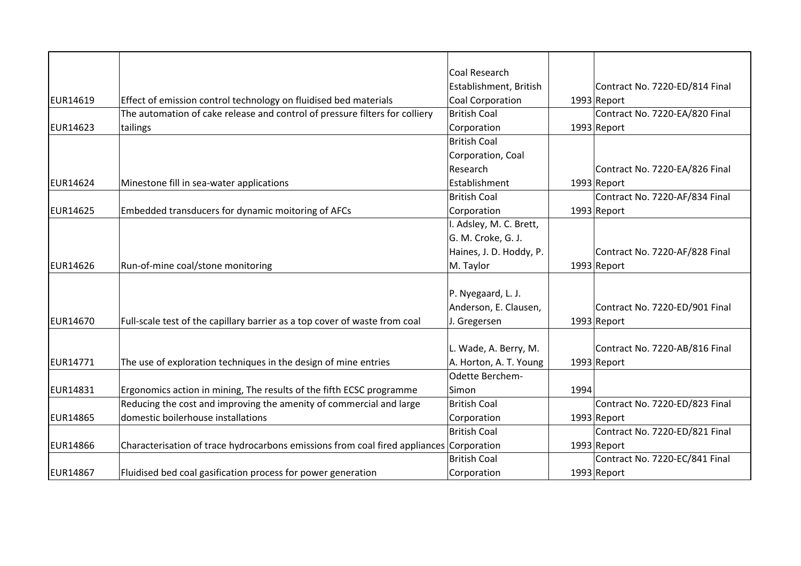|                 |                                                                                         | Coal Research           |      |                                |
|-----------------|-----------------------------------------------------------------------------------------|-------------------------|------|--------------------------------|
|                 |                                                                                         | Establishment, British  |      | Contract No. 7220-ED/814 Final |
| EUR14619        | Effect of emission control technology on fluidised bed materials                        | <b>Coal Corporation</b> |      | $1993$ Report                  |
|                 | The automation of cake release and control of pressure filters for colliery             | <b>British Coal</b>     |      | Contract No. 7220-EA/820 Final |
| <b>EUR14623</b> | tailings                                                                                | Corporation             |      | 1993 Report                    |
|                 |                                                                                         | <b>British Coal</b>     |      |                                |
|                 |                                                                                         | Corporation, Coal       |      |                                |
|                 |                                                                                         | Research                |      | Contract No. 7220-EA/826 Final |
| EUR14624        | Minestone fill in sea-water applications                                                | Establishment           |      | 1993 Report                    |
|                 |                                                                                         | <b>British Coal</b>     |      | Contract No. 7220-AF/834 Final |
| <b>EUR14625</b> | Embedded transducers for dynamic moitoring of AFCs                                      | Corporation             |      | $1993$ Report                  |
|                 |                                                                                         | I. Adsley, M. C. Brett, |      |                                |
|                 |                                                                                         | G. M. Croke, G. J.      |      |                                |
|                 |                                                                                         | Haines, J. D. Hoddy, P. |      | Contract No. 7220-AF/828 Final |
| EUR14626        | Run-of-mine coal/stone monitoring                                                       | M. Taylor               |      | 1993 Report                    |
|                 |                                                                                         | P. Nyegaard, L. J.      |      |                                |
|                 |                                                                                         | Anderson, E. Clausen,   |      | Contract No. 7220-ED/901 Final |
| EUR14670        | Full-scale test of the capillary barrier as a top cover of waste from coal              | J. Gregersen            |      | 1993 Report                    |
|                 |                                                                                         |                         |      |                                |
|                 |                                                                                         | L. Wade, A. Berry, M.   |      | Contract No. 7220-AB/816 Final |
| EUR14771        | The use of exploration techniques in the design of mine entries                         | A. Horton, A. T. Young  |      | $1993$ Report                  |
|                 |                                                                                         | Odette Berchem-         |      |                                |
| EUR14831        | Ergonomics action in mining, The results of the fifth ECSC programme                    | Simon                   | 1994 |                                |
|                 | Reducing the cost and improving the amenity of commercial and large                     | <b>British Coal</b>     |      | Contract No. 7220-ED/823 Final |
| <b>EUR14865</b> | domestic boilerhouse installations                                                      | Corporation             |      | 1993 Report                    |
|                 |                                                                                         | <b>British Coal</b>     |      | Contract No. 7220-ED/821 Final |
| EUR14866        | Characterisation of trace hydrocarbons emissions from coal fired appliances Corporation |                         |      | $1993$ Report                  |
|                 |                                                                                         | <b>British Coal</b>     |      | Contract No. 7220-EC/841 Final |
| <b>EUR14867</b> | Fluidised bed coal gasification process for power generation                            | Corporation             |      | $1993$ Report                  |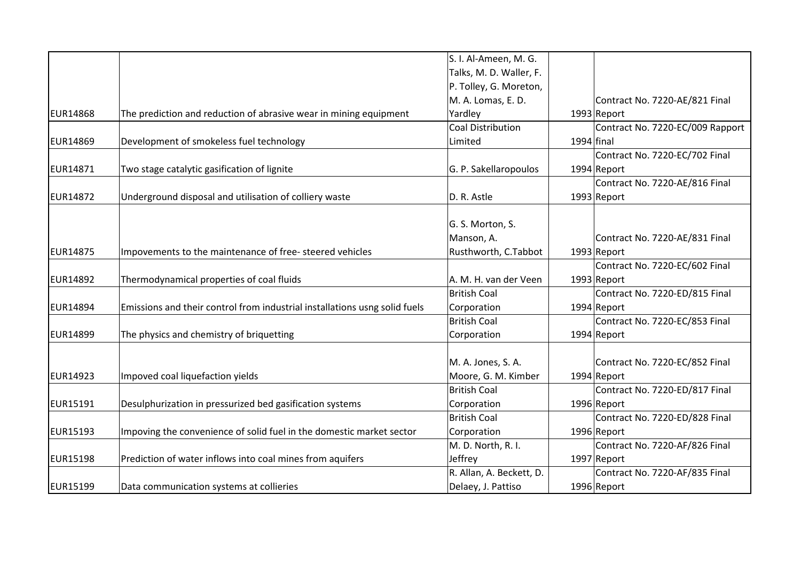|                 |                                                                            | S. I. Al-Ameen, M. G.    |              |                                  |
|-----------------|----------------------------------------------------------------------------|--------------------------|--------------|----------------------------------|
|                 |                                                                            | Talks, M. D. Waller, F.  |              |                                  |
|                 |                                                                            | P. Tolley, G. Moreton,   |              |                                  |
|                 |                                                                            | M. A. Lomas, E. D.       |              | Contract No. 7220-AE/821 Final   |
| <b>EUR14868</b> | The prediction and reduction of abrasive wear in mining equipment          | Yardley                  |              | 1993 Report                      |
|                 |                                                                            | Coal Distribution        |              | Contract No. 7220-EC/009 Rapport |
| <b>EUR14869</b> | Development of smokeless fuel technology                                   | Limited                  | $1994$ final |                                  |
|                 |                                                                            |                          |              | Contract No. 7220-EC/702 Final   |
| EUR14871        | Two stage catalytic gasification of lignite                                | G. P. Sakellaropoulos    |              | 1994 Report                      |
|                 |                                                                            |                          |              | Contract No. 7220-AE/816 Final   |
| <b>EUR14872</b> | Underground disposal and utilisation of colliery waste                     | D. R. Astle              |              | $1993$ Report                    |
|                 |                                                                            |                          |              |                                  |
|                 |                                                                            | G. S. Morton, S.         |              |                                  |
|                 |                                                                            | Manson, A.               |              | Contract No. 7220-AE/831 Final   |
| <b>EUR14875</b> | Impovements to the maintenance of free-steered vehicles                    | Rusthworth, C.Tabbot     |              | 1993 Report                      |
|                 |                                                                            |                          |              | Contract No. 7220-EC/602 Final   |
| <b>EUR14892</b> | Thermodynamical properties of coal fluids                                  | A. M. H. van der Veen    |              | $1993$ Report                    |
|                 |                                                                            | <b>British Coal</b>      |              | Contract No. 7220-ED/815 Final   |
| <b>EUR14894</b> | Emissions and their control from industrial installations usng solid fuels | Corporation              |              | 1994 Report                      |
|                 |                                                                            | <b>British Coal</b>      |              | Contract No. 7220-EC/853 Final   |
| <b>EUR14899</b> | The physics and chemistry of briquetting                                   | Corporation              |              | 1994 Report                      |
|                 |                                                                            |                          |              |                                  |
|                 |                                                                            | M. A. Jones, S. A.       |              | Contract No. 7220-EC/852 Final   |
| <b>EUR14923</b> | Impoved coal liquefaction yields                                           | Moore, G. M. Kimber      |              | 1994 Report                      |
|                 |                                                                            | <b>British Coal</b>      |              | Contract No. 7220-ED/817 Final   |
| EUR15191        | Desulphurization in pressurized bed gasification systems                   | Corporation              |              | 1996 Report                      |
|                 |                                                                            | <b>British Coal</b>      |              | Contract No. 7220-ED/828 Final   |
| <b>EUR15193</b> | Impoving the convenience of solid fuel in the domestic market sector       | Corporation              |              | 1996 Report                      |
|                 |                                                                            | M. D. North, R. I.       |              | Contract No. 7220-AF/826 Final   |
| <b>EUR15198</b> | Prediction of water inflows into coal mines from aquifers                  | Jeffrey                  |              | 1997 Report                      |
|                 |                                                                            | R. Allan, A. Beckett, D. |              | Contract No. 7220-AF/835 Final   |
| EUR15199        | Data communication systems at collieries                                   | Delaey, J. Pattiso       |              | 1996 Report                      |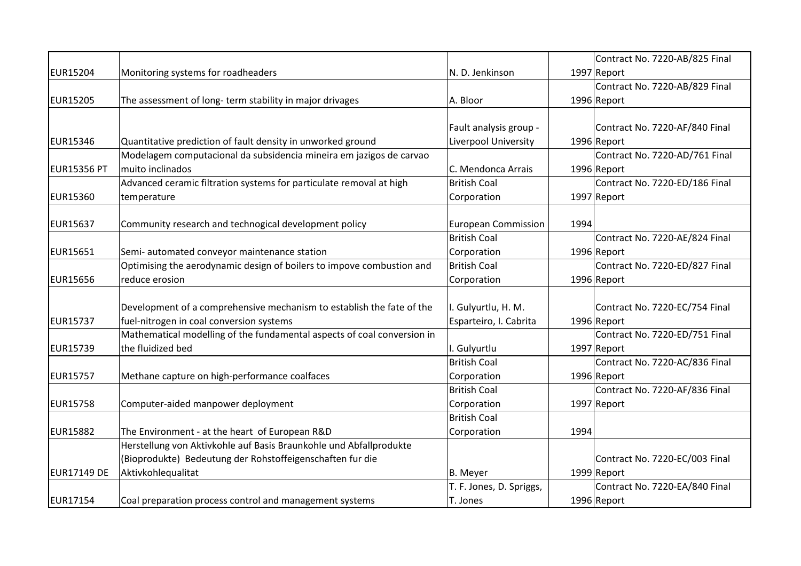|                    |                                                                         |                            |      | Contract No. 7220-AB/825 Final |
|--------------------|-------------------------------------------------------------------------|----------------------------|------|--------------------------------|
| <b>EUR15204</b>    | Monitoring systems for roadheaders                                      | N. D. Jenkinson            |      | 1997 Report                    |
|                    |                                                                         |                            |      | Contract No. 7220-AB/829 Final |
| <b>EUR15205</b>    | The assessment of long-term stability in major drivages                 | A. Bloor                   |      | 1996 Report                    |
|                    |                                                                         |                            |      |                                |
|                    |                                                                         | Fault analysis group -     |      | Contract No. 7220-AF/840 Final |
| EUR15346           | Quantitative prediction of fault density in unworked ground             | Liverpool University       |      | 1996 Report                    |
|                    | Modelagem computacional da subsidencia mineira em jazigos de carvao     |                            |      | Contract No. 7220-AD/761 Final |
| <b>EUR15356 PT</b> | muito inclinados                                                        | C. Mendonca Arrais         |      | 1996 Report                    |
|                    | Advanced ceramic filtration systems for particulate removal at high     | <b>British Coal</b>        |      | Contract No. 7220-ED/186 Final |
| <b>EUR15360</b>    | temperature                                                             | Corporation                |      | 1997 Report                    |
|                    |                                                                         |                            |      |                                |
| <b>EUR15637</b>    | Community research and technogical development policy                   | <b>European Commission</b> | 1994 |                                |
|                    |                                                                         | <b>British Coal</b>        |      | Contract No. 7220-AE/824 Final |
| <b>EUR15651</b>    | Semi- automated conveyor maintenance station                            | Corporation                |      | 1996 Report                    |
|                    | Optimising the aerodynamic design of boilers to impove combustion and   | <b>British Coal</b>        |      | Contract No. 7220-ED/827 Final |
| <b>EUR15656</b>    | reduce erosion                                                          | Corporation                |      | 1996 Report                    |
|                    |                                                                         |                            |      |                                |
|                    | Development of a comprehensive mechanism to establish the fate of the   | I. Gulyurtlu, H. M.        |      | Contract No. 7220-EC/754 Final |
| <b>EUR15737</b>    | fuel-nitrogen in coal conversion systems                                | Esparteiro, I. Cabrita     |      | 1996 Report                    |
|                    | Mathematical modelling of the fundamental aspects of coal conversion in |                            |      | Contract No. 7220-ED/751 Final |
| <b>EUR15739</b>    | the fluidized bed                                                       | I. Gulyurtlu               |      | 1997 Report                    |
|                    |                                                                         | <b>British Coal</b>        |      | Contract No. 7220-AC/836 Final |
| <b>EUR15757</b>    | Methane capture on high-performance coalfaces                           | Corporation                |      | 1996 Report                    |
|                    |                                                                         | <b>British Coal</b>        |      | Contract No. 7220-AF/836 Final |
| <b>EUR15758</b>    | Computer-aided manpower deployment                                      | Corporation                |      | 1997 Report                    |
|                    |                                                                         | <b>British Coal</b>        |      |                                |
| <b>EUR15882</b>    | The Environment - at the heart of European R&D                          | Corporation                | 1994 |                                |
|                    | Herstellung von Aktivkohle auf Basis Braunkohle und Abfallprodukte      |                            |      |                                |
|                    | (Bioprodukte) Bedeutung der Rohstoffeigenschaften fur die               |                            |      | Contract No. 7220-EC/003 Final |
| <b>EUR17149 DE</b> | Aktivkohlequalitat                                                      | <b>B.</b> Meyer            |      | 1999 Report                    |
|                    |                                                                         | T. F. Jones, D. Spriggs,   |      | Contract No. 7220-EA/840 Final |
| <b>EUR17154</b>    | Coal preparation process control and management systems                 | T. Jones                   |      | 1996 Report                    |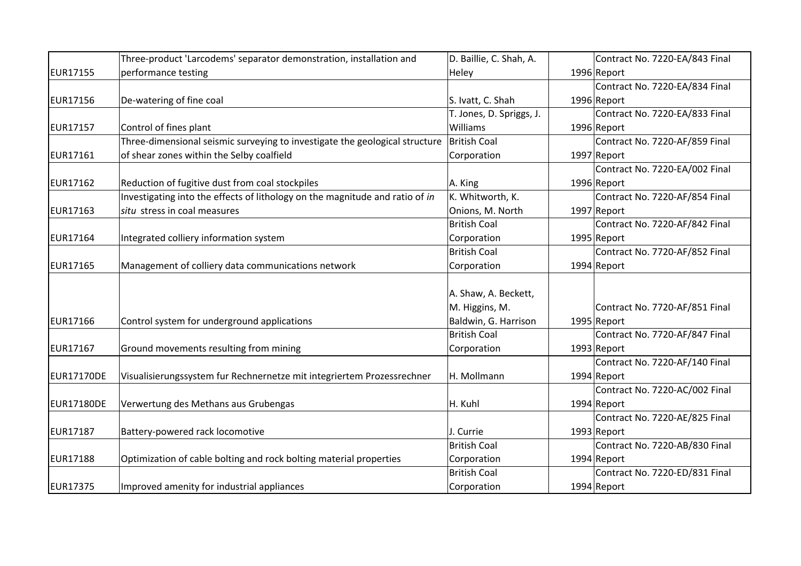|                 | Three-product 'Larcodems' separator demonstration, installation and          | D. Baillie, C. Shah, A.  | Contract No. 7220-EA/843 Final |
|-----------------|------------------------------------------------------------------------------|--------------------------|--------------------------------|
| <b>EUR17155</b> | performance testing                                                          | Heley                    | 1996 Report                    |
|                 |                                                                              |                          | Contract No. 7220-EA/834 Final |
| <b>EUR17156</b> | De-watering of fine coal                                                     | S. Ivatt, C. Shah        | 1996 Report                    |
|                 |                                                                              | T. Jones, D. Spriggs, J. | Contract No. 7220-EA/833 Final |
| <b>EUR17157</b> | Control of fines plant                                                       | Williams                 | 1996 Report                    |
|                 | Three-dimensional seismic surveying to investigate the geological structure  | <b>British Coal</b>      | Contract No. 7220-AF/859 Final |
| <b>EUR17161</b> | of shear zones within the Selby coalfield                                    | Corporation              | 1997 Report                    |
|                 |                                                                              |                          | Contract No. 7220-EA/002 Final |
| <b>EUR17162</b> | Reduction of fugitive dust from coal stockpiles                              | A. King                  | 1996 Report                    |
|                 | Investigating into the effects of lithology on the magnitude and ratio of in | K. Whitworth, K.         | Contract No. 7220-AF/854 Final |
| <b>EUR17163</b> | situ stress in coal measures                                                 | Onions, M. North         | 1997 Report                    |
|                 |                                                                              | <b>British Coal</b>      | Contract No. 7220-AF/842 Final |
| <b>EUR17164</b> | Integrated colliery information system                                       | Corporation              | $1995$ Report                  |
|                 |                                                                              | <b>British Coal</b>      | Contract No. 7720-AF/852 Final |
| <b>EUR17165</b> | Management of colliery data communications network                           | Corporation              | 1994 Report                    |
|                 |                                                                              |                          |                                |
|                 |                                                                              | A. Shaw, A. Beckett,     |                                |
|                 |                                                                              | M. Higgins, M.           | Contract No. 7720-AF/851 Final |
| <b>EUR17166</b> | Control system for underground applications                                  | Baldwin, G. Harrison     | 1995 Report                    |
|                 |                                                                              | <b>British Coal</b>      | Contract No. 7720-AF/847 Final |
| <b>EUR17167</b> | Ground movements resulting from mining                                       | Corporation              | 1993 Report                    |
|                 |                                                                              |                          | Contract No. 7220-AF/140 Final |
| EUR17170DE      | Visualisierungssystem fur Rechnernetze mit integriertem Prozessrechner       | H. Mollmann              | 1994 Report                    |
|                 |                                                                              |                          | Contract No. 7220-AC/002 Final |
| EUR17180DE      | Verwertung des Methans aus Grubengas                                         | H. Kuhl                  | 1994 Report                    |
|                 |                                                                              |                          | Contract No. 7220-AE/825 Final |
| <b>EUR17187</b> | Battery-powered rack locomotive                                              | J. Currie                | 1993 Report                    |
|                 |                                                                              | <b>British Coal</b>      | Contract No. 7220-AB/830 Final |
| <b>EUR17188</b> | Optimization of cable bolting and rock bolting material properties           | Corporation              | 1994 Report                    |
|                 |                                                                              | <b>British Coal</b>      | Contract No. 7220-ED/831 Final |
| <b>EUR17375</b> | Improved amenity for industrial appliances                                   | Corporation              | 1994 Report                    |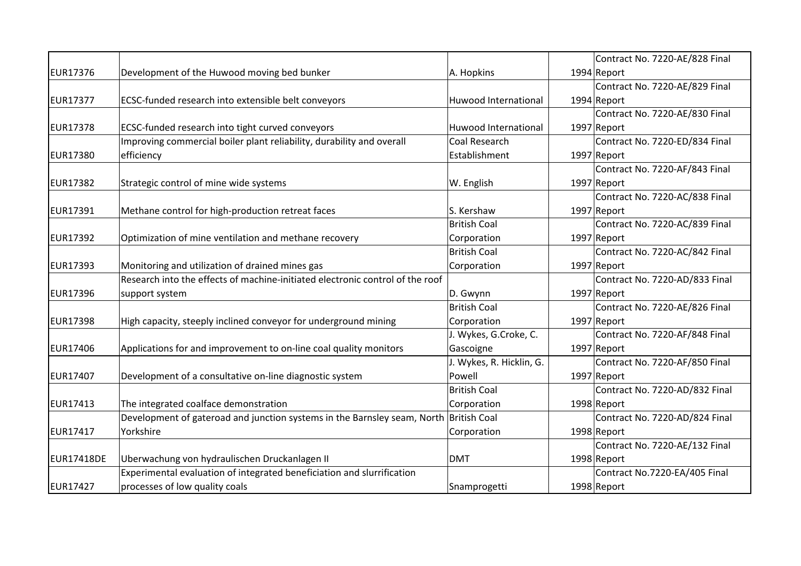|                   |                                                                                       |                             | Contract No. 7220-AE/828 Final |
|-------------------|---------------------------------------------------------------------------------------|-----------------------------|--------------------------------|
| <b>EUR17376</b>   | Development of the Huwood moving bed bunker                                           | A. Hopkins                  | 1994 Report                    |
|                   |                                                                                       |                             | Contract No. 7220-AE/829 Final |
| <b>EUR17377</b>   | ECSC-funded research into extensible belt conveyors                                   | Huwood International        | 1994 Report                    |
|                   |                                                                                       |                             | Contract No. 7220-AE/830 Final |
| <b>EUR17378</b>   | ECSC-funded research into tight curved conveyors                                      | <b>Huwood International</b> | 1997 Report                    |
|                   | Improving commercial boiler plant reliability, durability and overall                 | Coal Research               | Contract No. 7220-ED/834 Final |
| <b>EUR17380</b>   | efficiency                                                                            | Establishment               | 1997 Report                    |
|                   |                                                                                       |                             | Contract No. 7220-AF/843 Final |
| <b>EUR17382</b>   | Strategic control of mine wide systems                                                | W. English                  | 1997 Report                    |
|                   |                                                                                       |                             | Contract No. 7220-AC/838 Final |
| EUR17391          | Methane control for high-production retreat faces                                     | S. Kershaw                  | 1997 Report                    |
|                   |                                                                                       | <b>British Coal</b>         | Contract No. 7220-AC/839 Final |
| <b>EUR17392</b>   | Optimization of mine ventilation and methane recovery                                 | Corporation                 | 1997 Report                    |
|                   |                                                                                       | <b>British Coal</b>         | Contract No. 7220-AC/842 Final |
| <b>EUR17393</b>   | Monitoring and utilization of drained mines gas                                       | Corporation                 | 1997 Report                    |
|                   | Research into the effects of machine-initiated electronic control of the roof         |                             | Contract No. 7220-AD/833 Final |
| <b>EUR17396</b>   | support system                                                                        | D. Gwynn                    | 1997 Report                    |
|                   |                                                                                       | <b>British Coal</b>         | Contract No. 7220-AE/826 Final |
| <b>EUR17398</b>   | High capacity, steeply inclined conveyor for underground mining                       | Corporation                 | 1997 Report                    |
|                   |                                                                                       | J. Wykes, G.Croke, C.       | Contract No. 7220-AF/848 Final |
| <b>EUR17406</b>   | Applications for and improvement to on-line coal quality monitors                     | Gascoigne                   | 1997 Report                    |
|                   |                                                                                       | J. Wykes, R. Hicklin, G.    | Contract No. 7220-AF/850 Final |
| <b>EUR17407</b>   | Development of a consultative on-line diagnostic system                               | Powell                      | 1997 Report                    |
|                   |                                                                                       | <b>British Coal</b>         | Contract No. 7220-AD/832 Final |
| EUR17413          | The integrated coalface demonstration                                                 | Corporation                 | 1998 Report                    |
|                   | Development of gateroad and junction systems in the Barnsley seam, North British Coal |                             | Contract No. 7220-AD/824 Final |
| <b>EUR17417</b>   | Yorkshire                                                                             | Corporation                 | 1998 Report                    |
|                   |                                                                                       |                             | Contract No. 7220-AE/132 Final |
| <b>EUR17418DE</b> | Uberwachung von hydraulischen Druckanlagen II                                         | <b>DMT</b>                  | 1998 Report                    |
|                   | Experimental evaluation of integrated beneficiation and slurrification                |                             | Contract No.7220-EA/405 Final  |
| <b>EUR17427</b>   | processes of low quality coals                                                        | Snamprogetti                | 1998 Report                    |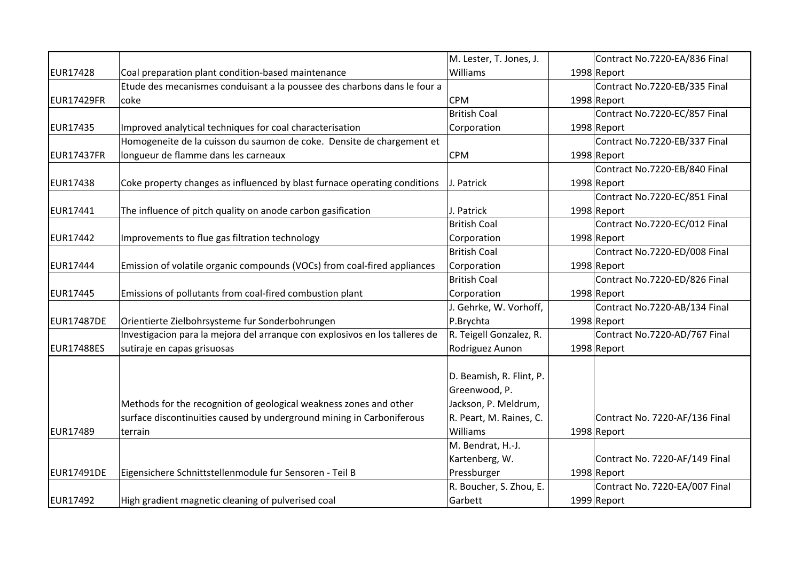|                   |                                                                             | M. Lester, T. Jones, J.  | Contract No.7220-EA/836 Final  |
|-------------------|-----------------------------------------------------------------------------|--------------------------|--------------------------------|
| <b>EUR17428</b>   | Coal preparation plant condition-based maintenance                          | Williams                 | 1998 Report                    |
|                   | Etude des mecanismes conduisant a la poussee des charbons dans le four a    |                          | Contract No.7220-EB/335 Final  |
| <b>EUR17429FR</b> | coke                                                                        | <b>CPM</b>               | 1998 Report                    |
|                   |                                                                             | <b>British Coal</b>      | Contract No.7220-EC/857 Final  |
| <b>EUR17435</b>   | Improved analytical techniques for coal characterisation                    | Corporation              | 1998 Report                    |
|                   | Homogeneite de la cuisson du saumon de coke. Densite de chargement et       |                          | Contract No.7220-EB/337 Final  |
| <b>EUR17437FR</b> | longueur de flamme dans les carneaux                                        | <b>CPM</b>               | 1998 Report                    |
|                   |                                                                             |                          | Contract No.7220-EB/840 Final  |
| <b>EUR17438</b>   | Coke property changes as influenced by blast furnace operating conditions   | J. Patrick               | 1998 Report                    |
|                   |                                                                             |                          | Contract No.7220-EC/851 Final  |
| <b>EUR17441</b>   | The influence of pitch quality on anode carbon gasification                 | J. Patrick               | 1998 Report                    |
|                   |                                                                             | <b>British Coal</b>      | Contract No.7220-EC/012 Final  |
| <b>EUR17442</b>   | Improvements to flue gas filtration technology                              | Corporation              | 1998 Report                    |
|                   |                                                                             | <b>British Coal</b>      | Contract No.7220-ED/008 Final  |
| <b>EUR17444</b>   | Emission of volatile organic compounds (VOCs) from coal-fired appliances    | Corporation              | 1998 Report                    |
|                   |                                                                             | <b>British Coal</b>      | Contract No.7220-ED/826 Final  |
| <b>EUR17445</b>   | Emissions of pollutants from coal-fired combustion plant                    | Corporation              | 1998 Report                    |
|                   |                                                                             | J. Gehrke, W. Vorhoff,   | Contract No.7220-AB/134 Final  |
| <b>EUR17487DE</b> | Orientierte Zielbohrsysteme fur Sonderbohrungen                             | P.Brychta                | 1998 Report                    |
|                   | Investigacion para la mejora del arranque con explosivos en los talleres de | R. Teigell Gonzalez, R.  | Contract No.7220-AD/767 Final  |
| <b>EUR17488ES</b> | sutiraje en capas grisuosas                                                 | Rodriguez Aunon          | 1998 Report                    |
|                   |                                                                             |                          |                                |
|                   |                                                                             | D. Beamish, R. Flint, P. |                                |
|                   |                                                                             | Greenwood, P.            |                                |
|                   | Methods for the recognition of geological weakness zones and other          | Jackson, P. Meldrum,     |                                |
|                   | surface discontinuities caused by underground mining in Carboniferous       | R. Peart, M. Raines, C.  | Contract No. 7220-AF/136 Final |
| <b>EUR17489</b>   | terrain                                                                     | Williams                 | 1998 Report                    |
|                   |                                                                             | M. Bendrat, H.-J.        |                                |
|                   |                                                                             | Kartenberg, W.           | Contract No. 7220-AF/149 Final |
| <b>EUR17491DE</b> | Eigensichere Schnittstellenmodule fur Sensoren - Teil B                     | Pressburger              | 1998 Report                    |
|                   |                                                                             | R. Boucher, S. Zhou, E.  | Contract No. 7220-EA/007 Final |
| <b>EUR17492</b>   | High gradient magnetic cleaning of pulverised coal                          | Garbett                  | 1999 Report                    |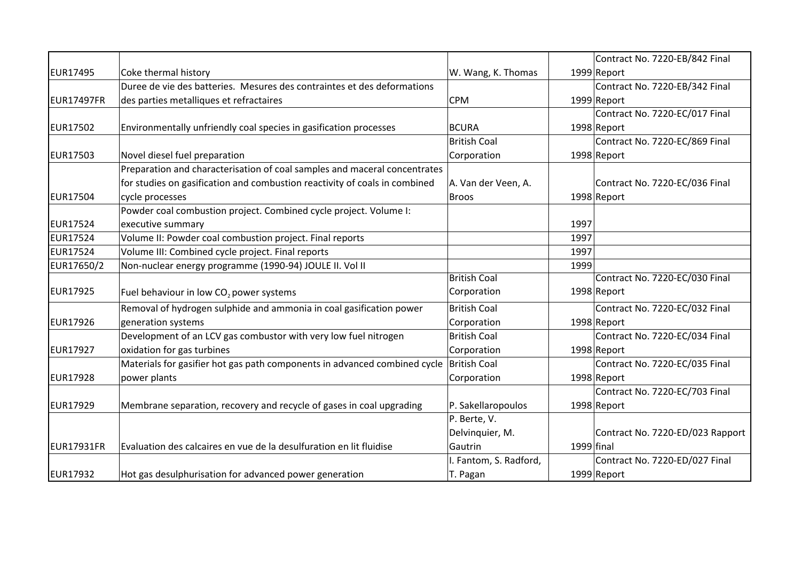|                   |                                                                            |                        |            | Contract No. 7220-EB/842 Final   |
|-------------------|----------------------------------------------------------------------------|------------------------|------------|----------------------------------|
| EUR17495          | Coke thermal history                                                       | W. Wang, K. Thomas     |            | 1999 Report                      |
|                   | Duree de vie des batteries. Mesures des contraintes et des deformations    |                        |            | Contract No. 7220-EB/342 Final   |
| <b>EUR17497FR</b> | des parties metalliques et refractaires                                    | <b>CPM</b>             |            | 1999 Report                      |
|                   |                                                                            |                        |            | Contract No. 7220-EC/017 Final   |
| EUR17502          | Environmentally unfriendly coal species in gasification processes          | <b>BCURA</b>           |            | 1998 Report                      |
|                   |                                                                            | <b>British Coal</b>    |            | Contract No. 7220-EC/869 Final   |
| EUR17503          | Novel diesel fuel preparation                                              | Corporation            |            | 1998 Report                      |
|                   | Preparation and characterisation of coal samples and maceral concentrates  |                        |            |                                  |
|                   | for studies on gasification and combustion reactivity of coals in combined | A. Van der Veen, A.    |            | Contract No. 7220-EC/036 Final   |
| EUR17504          | cycle processes                                                            | <b>Broos</b>           |            | 1998 Report                      |
|                   | Powder coal combustion project. Combined cycle project. Volume I:          |                        |            |                                  |
| EUR17524          | executive summary                                                          |                        | 1997       |                                  |
| EUR17524          | Volume II: Powder coal combustion project. Final reports                   |                        | 1997       |                                  |
| EUR17524          | Volume III: Combined cycle project. Final reports                          |                        | 1997       |                                  |
| EUR17650/2        | Non-nuclear energy programme (1990-94) JOULE II. Vol II                    |                        | 1999       |                                  |
|                   |                                                                            | <b>British Coal</b>    |            | Contract No. 7220-EC/030 Final   |
| EUR17925          | Fuel behaviour in low $CO2$ power systems                                  | Corporation            |            | 1998 Report                      |
|                   | Removal of hydrogen sulphide and ammonia in coal gasification power        | <b>British Coal</b>    |            | Contract No. 7220-EC/032 Final   |
| EUR17926          | generation systems                                                         | Corporation            |            | 1998 Report                      |
|                   | Development of an LCV gas combustor with very low fuel nitrogen            | <b>British Coal</b>    |            | Contract No. 7220-EC/034 Final   |
| EUR17927          | oxidation for gas turbines                                                 | Corporation            |            | 1998 Report                      |
|                   | Materials for gasifier hot gas path components in advanced combined cycle  | British Coal           |            | Contract No. 7220-EC/035 Final   |
| <b>EUR17928</b>   | power plants                                                               | Corporation            |            | 1998 Report                      |
|                   |                                                                            |                        |            | Contract No. 7220-EC/703 Final   |
| EUR17929          | Membrane separation, recovery and recycle of gases in coal upgrading       | P. Sakellaropoulos     |            | 1998 Report                      |
|                   |                                                                            | P. Berte, V.           |            |                                  |
|                   |                                                                            | Delvinquier, M.        |            | Contract No. 7220-ED/023 Rapport |
| <b>EUR17931FR</b> | Evaluation des calcaires en vue de la desulfuration en lit fluidise        | Gautrin                | 1999 final |                                  |
|                   |                                                                            | I. Fantom, S. Radford, |            | Contract No. 7220-ED/027 Final   |
| EUR17932          | Hot gas desulphurisation for advanced power generation                     | T. Pagan               |            | 1999 Report                      |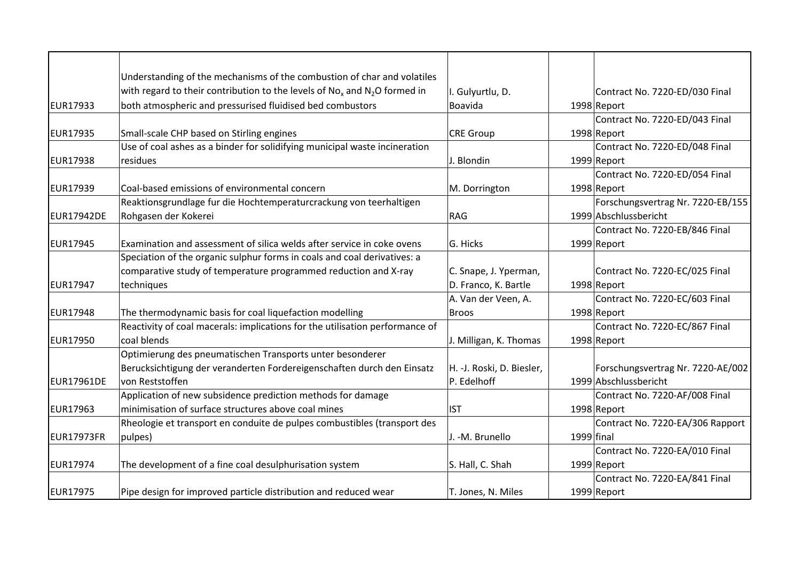|                 | Understanding of the mechanisms of the combustion of char and volatiles        |                           |            |                                   |
|-----------------|--------------------------------------------------------------------------------|---------------------------|------------|-----------------------------------|
|                 | with regard to their contribution to the levels of $No_x$ and $N_2O$ formed in | I. Gulyurtlu, D.          |            | Contract No. 7220-ED/030 Final    |
| <b>EUR17933</b> | both atmospheric and pressurised fluidised bed combustors                      | Boavida                   |            |                                   |
|                 |                                                                                |                           |            | 1998 Report                       |
|                 |                                                                                |                           |            | Contract No. 7220-ED/043 Final    |
| <b>EUR17935</b> | Small-scale CHP based on Stirling engines                                      | <b>CRE Group</b>          |            | 1998 Report                       |
|                 | Use of coal ashes as a binder for solidifying municipal waste incineration     |                           |            | Contract No. 7220-ED/048 Final    |
| <b>EUR17938</b> | residues                                                                       | J. Blondin                |            | 1999 Report                       |
|                 |                                                                                |                           |            | Contract No. 7220-ED/054 Final    |
| <b>EUR17939</b> | Coal-based emissions of environmental concern                                  | M. Dorrington             |            | 1998 Report                       |
|                 | Reaktionsgrundlage fur die Hochtemperaturcrackung von teerhaltigen             |                           |            | Forschungsvertrag Nr. 7220-EB/155 |
| EUR17942DE      | Rohgasen der Kokerei                                                           | <b>RAG</b>                |            | 1999 Abschlussbericht             |
|                 |                                                                                |                           |            | Contract No. 7220-EB/846 Final    |
| <b>EUR17945</b> | Examination and assessment of silica welds after service in coke ovens         | G. Hicks                  |            | 1999 Report                       |
|                 | Speciation of the organic sulphur forms in coals and coal derivatives: a       |                           |            |                                   |
|                 | comparative study of temperature programmed reduction and X-ray                | C. Snape, J. Yperman,     |            | Contract No. 7220-EC/025 Final    |
| <b>EUR17947</b> | techniques                                                                     | D. Franco, K. Bartle      |            | 1998 Report                       |
|                 |                                                                                | A. Van der Veen, A.       |            | Contract No. 7220-EC/603 Final    |
| <b>EUR17948</b> | The thermodynamic basis for coal liquefaction modelling                        | <b>Broos</b>              |            | 1998 Report                       |
|                 | Reactivity of coal macerals: implications for the utilisation performance of   |                           |            | Contract No. 7220-EC/867 Final    |
| <b>EUR17950</b> | coal blends                                                                    | J. Milligan, K. Thomas    |            | 1998 Report                       |
|                 | Optimierung des pneumatischen Transports unter besonderer                      |                           |            |                                   |
|                 | Berucksichtigung der veranderten Fordereigenschaften durch den Einsatz         | H. -J. Roski, D. Biesler, |            | Forschungsvertrag Nr. 7220-AE/002 |
| EUR17961DE      | von Reststoffen                                                                | P. Edelhoff               |            | 1999 Abschlussbericht             |
|                 | Application of new subsidence prediction methods for damage                    |                           |            | Contract No. 7220-AF/008 Final    |
| <b>EUR17963</b> | minimisation of surface structures above coal mines                            | <b>IST</b>                |            | 1998 Report                       |
|                 | Rheologie et transport en conduite de pulpes combustibles (transport des       |                           |            | Contract No. 7220-EA/306 Rapport  |
| EUR17973FR      | pulpes)                                                                        | J. -M. Brunello           | 1999 final |                                   |
|                 |                                                                                |                           |            | Contract No. 7220-EA/010 Final    |
| <b>EUR17974</b> | The development of a fine coal desulphurisation system                         | S. Hall, C. Shah          |            | 1999 Report                       |
|                 |                                                                                |                           |            | Contract No. 7220-EA/841 Final    |
| <b>EUR17975</b> | Pipe design for improved particle distribution and reduced wear                | T. Jones, N. Miles        |            | 1999 Report                       |
|                 |                                                                                |                           |            |                                   |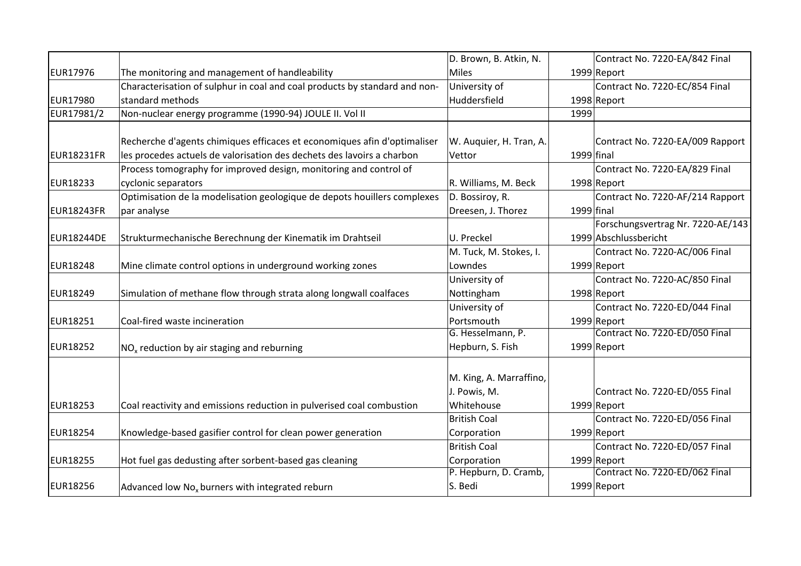|                   |                                                                            | D. Brown, B. Atkin, N.  |            | Contract No. 7220-EA/842 Final    |
|-------------------|----------------------------------------------------------------------------|-------------------------|------------|-----------------------------------|
| <b>EUR17976</b>   | The monitoring and management of handleability                             | <b>Miles</b>            |            | 1999 Report                       |
|                   | Characterisation of sulphur in coal and coal products by standard and non- | University of           |            | Contract No. 7220-EC/854 Final    |
| <b>EUR17980</b>   | standard methods                                                           | Huddersfield            |            | 1998 Report                       |
| EUR17981/2        | Non-nuclear energy programme (1990-94) JOULE II. Vol II                    |                         | 1999       |                                   |
|                   |                                                                            |                         |            |                                   |
|                   | Recherche d'agents chimiques efficaces et economiques afin d'optimaliser   | W. Auquier, H. Tran, A. |            | Contract No. 7220-EA/009 Rapport  |
| EUR18231FR        | les procedes actuels de valorisation des dechets des lavoirs a charbon     | Vettor                  | 1999 final |                                   |
|                   | Process tomography for improved design, monitoring and control of          |                         |            | Contract No. 7220-EA/829 Final    |
| <b>EUR18233</b>   | cyclonic separators                                                        | R. Williams, M. Beck    |            | 1998 Report                       |
|                   | Optimisation de la modelisation geologique de depots houillers complexes   | D. Bossiroy, R.         |            | Contract No. 7220-AF/214 Rapport  |
| <b>EUR18243FR</b> | par analyse                                                                | Dreesen, J. Thorez      | 1999 final |                                   |
|                   |                                                                            |                         |            | Forschungsvertrag Nr. 7220-AE/143 |
| <b>EUR18244DE</b> | Strukturmechanische Berechnung der Kinematik im Drahtseil                  | U. Preckel              |            | 1999 Abschlussbericht             |
|                   |                                                                            | M. Tuck, M. Stokes, I.  |            | Contract No. 7220-AC/006 Final    |
| <b>EUR18248</b>   | Mine climate control options in underground working zones                  | Lowndes                 |            | 1999 Report                       |
|                   |                                                                            | University of           |            | Contract No. 7220-AC/850 Final    |
| EUR18249          | Simulation of methane flow through strata along longwall coalfaces         | Nottingham              |            | 1998 Report                       |
|                   |                                                                            | University of           |            | Contract No. 7220-ED/044 Final    |
| <b>EUR18251</b>   | Coal-fired waste incineration                                              | Portsmouth              |            | 1999 Report                       |
|                   |                                                                            | G. Hesselmann, P.       |            | Contract No. 7220-ED/050 Final    |
| <b>EUR18252</b>   | $NOx$ reduction by air staging and reburning                               | Hepburn, S. Fish        |            | 1999 Report                       |
|                   |                                                                            |                         |            |                                   |
|                   |                                                                            | M. King, A. Marraffino, |            |                                   |
|                   |                                                                            | J. Powis, M.            |            | Contract No. 7220-ED/055 Final    |
| <b>EUR18253</b>   | Coal reactivity and emissions reduction in pulverised coal combustion      | Whitehouse              |            | 1999 Report                       |
|                   |                                                                            | <b>British Coal</b>     |            | Contract No. 7220-ED/056 Final    |
| <b>EUR18254</b>   | Knowledge-based gasifier control for clean power generation                | Corporation             |            | 1999 Report                       |
|                   |                                                                            | <b>British Coal</b>     |            | Contract No. 7220-ED/057 Final    |
| <b>EUR18255</b>   | Hot fuel gas dedusting after sorbent-based gas cleaning                    | Corporation             |            | 1999 Report                       |
|                   |                                                                            | P. Hepburn, D. Cramb,   |            | Contract No. 7220-ED/062 Final    |
| <b>EUR18256</b>   | Advanced low No <sub>x</sub> burners with integrated reburn                | S. Bedi                 |            | 1999 Report                       |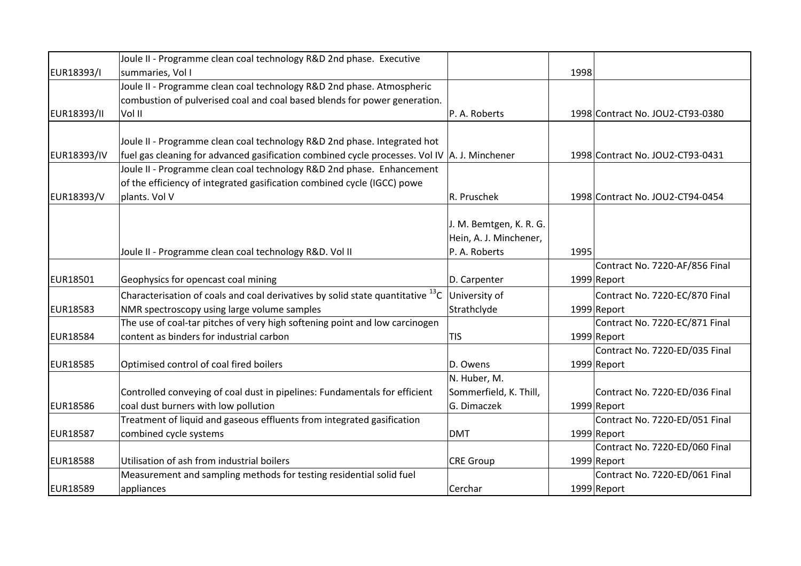|                    | Joule II - Programme clean coal technology R&D 2nd phase. Executive                            |                         |      |                                  |
|--------------------|------------------------------------------------------------------------------------------------|-------------------------|------|----------------------------------|
| EUR18393/I         | summaries, Vol I                                                                               |                         | 1998 |                                  |
|                    | Joule II - Programme clean coal technology R&D 2nd phase. Atmospheric                          |                         |      |                                  |
|                    | combustion of pulverised coal and coal based blends for power generation.                      |                         |      |                                  |
| EUR18393/II        | Vol II                                                                                         | P. A. Roberts           |      | 1998 Contract No. JOU2-CT93-0380 |
|                    |                                                                                                |                         |      |                                  |
|                    | Joule II - Programme clean coal technology R&D 2nd phase. Integrated hot                       |                         |      |                                  |
| <b>EUR18393/IV</b> | fuel gas cleaning for advanced gasification combined cycle processes. Vol IV   A. J. Minchener |                         |      | 1998 Contract No. JOU2-CT93-0431 |
|                    | Joule II - Programme clean coal technology R&D 2nd phase. Enhancement                          |                         |      |                                  |
|                    | of the efficiency of integrated gasification combined cycle (IGCC) powe                        |                         |      |                                  |
| EUR18393/V         | plants. Vol V                                                                                  | R. Pruschek             |      | 1998 Contract No. JOU2-CT94-0454 |
|                    |                                                                                                |                         |      |                                  |
|                    |                                                                                                | J. M. Bemtgen, K. R. G. |      |                                  |
|                    |                                                                                                | Hein, A. J. Minchener,  |      |                                  |
|                    | Joule II - Programme clean coal technology R&D. Vol II                                         | P. A. Roberts           | 1995 |                                  |
|                    |                                                                                                |                         |      | Contract No. 7220-AF/856 Final   |
| EUR18501           | Geophysics for opencast coal mining                                                            | D. Carpenter            |      | 1999 Report                      |
|                    | Characterisation of coals and coal derivatives by solid state quantitative $^{13}$ C           | University of           |      | Contract No. 7220-EC/870 Final   |
| <b>EUR18583</b>    | NMR spectroscopy using large volume samples                                                    | Strathclyde             |      | 1999 Report                      |
|                    | The use of coal-tar pitches of very high softening point and low carcinogen                    |                         |      | Contract No. 7220-EC/871 Final   |
| <b>EUR18584</b>    | content as binders for industrial carbon                                                       | <b>TIS</b>              |      | 1999 Report                      |
|                    |                                                                                                |                         |      | Contract No. 7220-ED/035 Final   |
| <b>EUR18585</b>    | Optimised control of coal fired boilers                                                        | D. Owens                |      | 1999 Report                      |
|                    |                                                                                                | N. Huber, M.            |      |                                  |
|                    | Controlled conveying of coal dust in pipelines: Fundamentals for efficient                     | Sommerfield, K. Thill,  |      | Contract No. 7220-ED/036 Final   |
| <b>EUR18586</b>    | coal dust burners with low pollution                                                           | G. Dimaczek             |      | 1999 Report                      |
|                    | Treatment of liquid and gaseous effluents from integrated gasification                         |                         |      | Contract No. 7220-ED/051 Final   |
| <b>EUR18587</b>    | combined cycle systems                                                                         | <b>DMT</b>              |      | 1999 Report                      |
|                    |                                                                                                |                         |      | Contract No. 7220-ED/060 Final   |
| <b>EUR18588</b>    | Utilisation of ash from industrial boilers                                                     | <b>CRE Group</b>        |      | 1999 Report                      |
|                    | Measurement and sampling methods for testing residential solid fuel                            |                         |      | Contract No. 7220-ED/061 Final   |
| <b>EUR18589</b>    | appliances                                                                                     | Cerchar                 |      | 1999 Report                      |